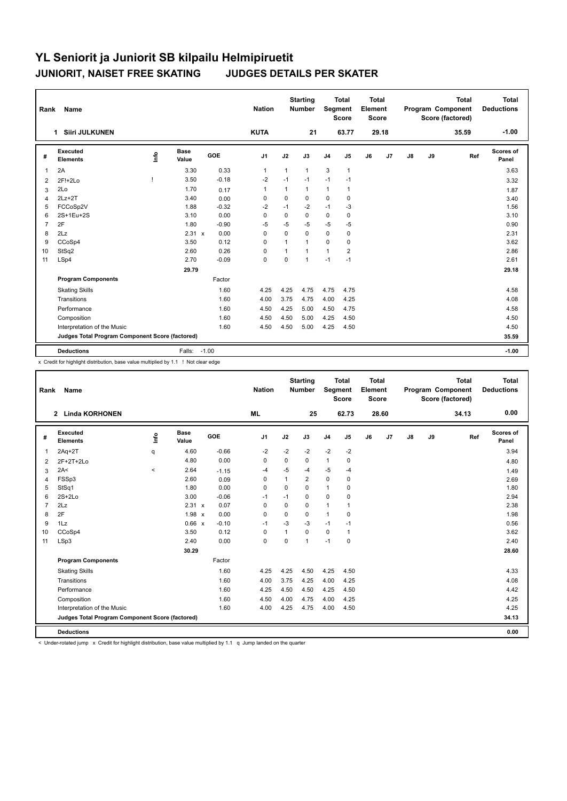| Rank           | Name                                            |               |                      |         | <b>Nation</b>  |              | <b>Starting</b><br><b>Number</b> | Segment        | <b>Total</b><br><b>Score</b> | <b>Total</b><br>Element<br><b>Score</b> |       |    |    | <b>Total</b><br>Program Component<br>Score (factored) | <b>Total</b><br><b>Deductions</b> |
|----------------|-------------------------------------------------|---------------|----------------------|---------|----------------|--------------|----------------------------------|----------------|------------------------------|-----------------------------------------|-------|----|----|-------------------------------------------------------|-----------------------------------|
|                | <b>Siiri JULKUNEN</b><br>$\mathbf 1$            |               |                      |         | <b>KUTA</b>    |              | 21                               |                | 63.77                        |                                         | 29.18 |    |    | 35.59                                                 | $-1.00$                           |
| #              | Executed<br><b>Elements</b>                     | $\frac{1}{2}$ | <b>Base</b><br>Value | GOE     | J <sub>1</sub> | J2           | J3                               | J <sub>4</sub> | J5                           | J6                                      | J7    | J8 | J9 | Ref                                                   | Scores of<br>Panel                |
| 1              | 2A                                              |               | 3.30                 | 0.33    | $\mathbf{1}$   | $\mathbf{1}$ | $\mathbf{1}$                     | 3              | $\mathbf{1}$                 |                                         |       |    |    |                                                       | 3.63                              |
| 2              | 2F!+2Lo                                         |               | 3.50                 | $-0.18$ | $-2$           | $-1$         | $-1$                             | $-1$           | $-1$                         |                                         |       |    |    |                                                       | 3.32                              |
| 3              | 2Lo                                             |               | 1.70                 | 0.17    | $\mathbf{1}$   | 1            | $\mathbf{1}$                     | $\mathbf{1}$   | $\mathbf{1}$                 |                                         |       |    |    |                                                       | 1.87                              |
| 4              | $2Lz+2T$                                        |               | 3.40                 | 0.00    | 0              | $\mathbf 0$  | $\Omega$                         | $\mathbf 0$    | 0                            |                                         |       |    |    |                                                       | 3.40                              |
| 5              | FCCoSp2V                                        |               | 1.88                 | $-0.32$ | $-2$           | $-1$         | $-2$                             | $-1$           | $-3$                         |                                         |       |    |    |                                                       | 1.56                              |
| 6              | 2S+1Eu+2S                                       |               | 3.10                 | 0.00    | $\mathbf 0$    | $\mathbf 0$  | $\mathbf 0$                      | $\mathbf 0$    | 0                            |                                         |       |    |    |                                                       | 3.10                              |
| $\overline{7}$ | 2F                                              |               | 1.80                 | $-0.90$ | $-5$           | $-5$         | $-5$                             | $-5$           | $-5$                         |                                         |       |    |    |                                                       | 0.90                              |
| 8              | 2Lz                                             |               | 2.31 x               | 0.00    | $\mathbf 0$    | $\Omega$     | $\Omega$                         | $\mathbf 0$    | 0                            |                                         |       |    |    |                                                       | 2.31                              |
| 9              | CCoSp4                                          |               | 3.50                 | 0.12    | 0              | 1            | 1                                | $\mathbf 0$    | $\mathbf 0$                  |                                         |       |    |    |                                                       | 3.62                              |
| 10             | StSq2                                           |               | 2.60                 | 0.26    | 0              | $\mathbf{1}$ | $\mathbf{1}$                     | $\mathbf{1}$   | $\overline{2}$               |                                         |       |    |    |                                                       | 2.86                              |
| 11             | LSp4                                            |               | 2.70                 | $-0.09$ | $\mathbf 0$    | 0            | $\mathbf{1}$                     | $-1$           | $-1$                         |                                         |       |    |    |                                                       | 2.61                              |
|                |                                                 |               | 29.79                |         |                |              |                                  |                |                              |                                         |       |    |    |                                                       | 29.18                             |
|                | <b>Program Components</b>                       |               |                      | Factor  |                |              |                                  |                |                              |                                         |       |    |    |                                                       |                                   |
|                | <b>Skating Skills</b>                           |               |                      | 1.60    | 4.25           | 4.25         | 4.75                             | 4.75           | 4.75                         |                                         |       |    |    |                                                       | 4.58                              |
|                | Transitions                                     |               |                      | 1.60    | 4.00           | 3.75         | 4.75                             | 4.00           | 4.25                         |                                         |       |    |    |                                                       | 4.08                              |
|                | Performance                                     |               |                      | 1.60    | 4.50           | 4.25         | 5.00                             | 4.50           | 4.75                         |                                         |       |    |    |                                                       | 4.58                              |
|                | Composition                                     |               |                      | 1.60    | 4.50           | 4.50         | 5.00                             | 4.25           | 4.50                         |                                         |       |    |    |                                                       | 4.50                              |
|                | Interpretation of the Music                     |               |                      | 1.60    | 4.50           | 4.50         | 5.00                             | 4.25           | 4.50                         |                                         |       |    |    |                                                       | 4.50                              |
|                | Judges Total Program Component Score (factored) |               |                      |         |                |              |                                  |                |                              |                                         |       |    |    |                                                       | 35.59                             |
|                | <b>Deductions</b>                               |               | Falls: -1.00         |         |                |              |                                  |                |                              |                                         |       |    |    |                                                       | $-1.00$                           |

x Credit for highlight distribution, base value multiplied by 1.1 ! Not clear edge

| Rank           | <b>Name</b>                                     |         |                      |         | <b>Nation</b>  |              | <b>Starting</b><br><b>Number</b> | Segment        | <b>Total</b><br><b>Score</b> | <b>Total</b><br>Element<br><b>Score</b> |       |               |    | <b>Total</b><br>Program Component<br>Score (factored) | <b>Total</b><br><b>Deductions</b> |
|----------------|-------------------------------------------------|---------|----------------------|---------|----------------|--------------|----------------------------------|----------------|------------------------------|-----------------------------------------|-------|---------------|----|-------------------------------------------------------|-----------------------------------|
|                | 2 Linda KORHONEN                                |         |                      |         | <b>ML</b>      |              | 25                               |                | 62.73                        |                                         | 28.60 |               |    | 34.13                                                 | 0.00                              |
| #              | <b>Executed</b><br><b>Elements</b>              | Info    | <b>Base</b><br>Value | GOE     | J <sub>1</sub> | J2           | J3                               | J <sub>4</sub> | J5                           | J6                                      | J7    | $\mathsf{J}8$ | J9 | Ref                                                   | Scores of<br>Panel                |
| $\overline{1}$ | $2Aq+2T$                                        | q       | 4.60                 | $-0.66$ | $-2$           | $-2$         | $-2$                             | $-2$           | $-2$                         |                                         |       |               |    |                                                       | 3.94                              |
| 2              | $2F+2T+2Lo$                                     |         | 4.80                 | 0.00    | 0              | 0            | 0                                | $\mathbf{1}$   | 0                            |                                         |       |               |    |                                                       | 4.80                              |
| 3              | 2A<                                             | $\prec$ | 2.64                 | $-1.15$ | -4             | $-5$         | $-4$                             | $-5$           | $-4$                         |                                         |       |               |    |                                                       | 1.49                              |
| 4              | FSSp3                                           |         | 2.60                 | 0.09    | 0              | $\mathbf{1}$ | $\overline{2}$                   | $\mathbf 0$    | 0                            |                                         |       |               |    |                                                       | 2.69                              |
| 5              | StSq1                                           |         | 1.80                 | 0.00    | 0              | 0            | 0                                | $\mathbf{1}$   | 0                            |                                         |       |               |    |                                                       | 1.80                              |
| 6              | $2S+2Lo$                                        |         | 3.00                 | $-0.06$ | $-1$           | $-1$         | $\Omega$                         | $\mathbf 0$    | 0                            |                                         |       |               |    |                                                       | 2.94                              |
| $\overline{7}$ | 2Lz                                             |         | 2.31 x               | 0.07    | 0              | 0            | 0                                | $\mathbf{1}$   | 1                            |                                         |       |               |    |                                                       | 2.38                              |
| 8              | 2F                                              |         | $1.98 \times$        | 0.00    | $\mathbf 0$    | $\Omega$     | 0                                | $\mathbf{1}$   | $\mathbf 0$                  |                                         |       |               |    |                                                       | 1.98                              |
| 9              | 1Lz                                             |         | 0.66 x               | $-0.10$ | $-1$           | $-3$         | $-3$                             | $-1$           | $-1$                         |                                         |       |               |    |                                                       | 0.56                              |
| 10             | CCoSp4                                          |         | 3.50                 | 0.12    | 0              | 1            | $\Omega$                         | $\pmb{0}$      | 1                            |                                         |       |               |    |                                                       | 3.62                              |
| 11             | LSp3                                            |         | 2.40                 | 0.00    | $\mathbf 0$    | $\mathbf 0$  | $\mathbf{1}$                     | $-1$           | $\mathbf 0$                  |                                         |       |               |    |                                                       | 2.40                              |
|                |                                                 |         | 30.29                |         |                |              |                                  |                |                              |                                         |       |               |    |                                                       | 28.60                             |
|                | <b>Program Components</b>                       |         |                      | Factor  |                |              |                                  |                |                              |                                         |       |               |    |                                                       |                                   |
|                | <b>Skating Skills</b>                           |         |                      | 1.60    | 4.25           | 4.25         | 4.50                             | 4.25           | 4.50                         |                                         |       |               |    |                                                       | 4.33                              |
|                | Transitions                                     |         |                      | 1.60    | 4.00           | 3.75         | 4.25                             | 4.00           | 4.25                         |                                         |       |               |    |                                                       | 4.08                              |
|                | Performance                                     |         |                      | 1.60    | 4.25           | 4.50         | 4.50                             | 4.25           | 4.50                         |                                         |       |               |    |                                                       | 4.42                              |
|                | Composition                                     |         |                      | 1.60    | 4.50           | 4.00         | 4.75                             | 4.00           | 4.25                         |                                         |       |               |    |                                                       | 4.25                              |
|                | Interpretation of the Music                     |         |                      | 1.60    | 4.00           | 4.25         | 4.75                             | 4.00           | 4.50                         |                                         |       |               |    |                                                       | 4.25                              |
|                | Judges Total Program Component Score (factored) |         |                      |         |                |              |                                  |                |                              |                                         |       |               |    |                                                       | 34.13                             |
|                | <b>Deductions</b>                               |         |                      |         |                |              |                                  |                |                              |                                         |       |               |    |                                                       | 0.00                              |

< Under-rotated jump x Credit for highlight distribution, base value multiplied by 1.1 q Jump landed on the quarter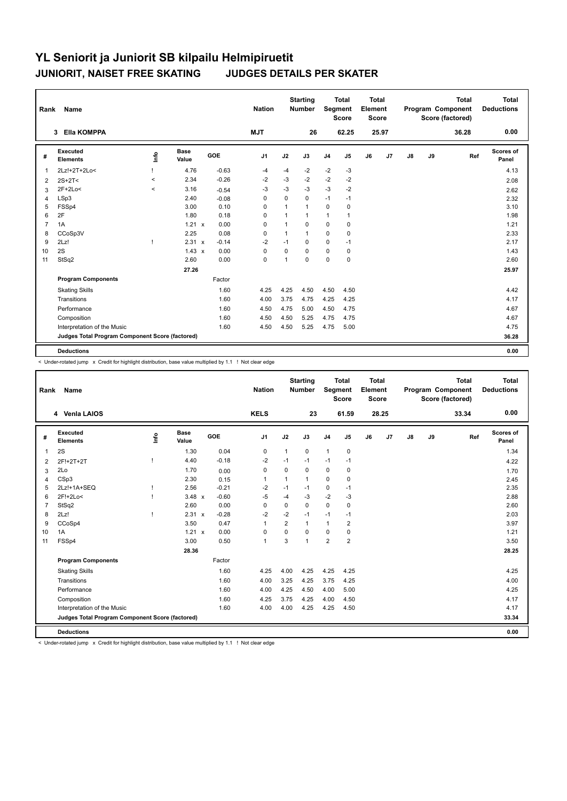| Rank           | Name                                            |              |                      |         | <b>Nation</b> |              | <b>Starting</b><br>Number | Segment        | <b>Total</b><br><b>Score</b> | <b>Total</b><br>Element<br>Score |       |               |    | <b>Total</b><br><b>Program Component</b><br>Score (factored) | <b>Total</b><br><b>Deductions</b> |
|----------------|-------------------------------------------------|--------------|----------------------|---------|---------------|--------------|---------------------------|----------------|------------------------------|----------------------------------|-------|---------------|----|--------------------------------------------------------------|-----------------------------------|
|                | <b>Ella KOMPPA</b><br>3                         |              |                      |         | <b>NJT</b>    |              | 26                        |                | 62.25                        |                                  | 25.97 |               |    | 36.28                                                        | 0.00                              |
| #              | Executed<br><b>Elements</b>                     | ١nf٥         | <b>Base</b><br>Value | GOE     | J1            | J2           | J3                        | J <sub>4</sub> | J5                           | J6                               | J7    | $\mathsf{J}8$ | J9 | Ref                                                          | Scores of<br>Panel                |
| $\overline{1}$ | 2Lz!+2T+2Lo<                                    |              | 4.76                 | $-0.63$ | -4            | $-4$         | $-2$                      | $-2$           | $-3$                         |                                  |       |               |    |                                                              | 4.13                              |
| $\overline{2}$ | $2S+2T2$                                        | $\prec$      | 2.34                 | $-0.26$ | $-2$          | $-3$         | $-2$                      | $-2$           | $-2$                         |                                  |       |               |    |                                                              | 2.08                              |
| 3              | $2F+2Lo<$                                       | $\prec$      | 3.16                 | $-0.54$ | -3            | $-3$         | $-3$                      | $-3$           | $-2$                         |                                  |       |               |    |                                                              | 2.62                              |
| 4              | LSp3                                            |              | 2.40                 | $-0.08$ | $\mathbf 0$   | $\mathbf 0$  | $\mathbf 0$               | $-1$           | $-1$                         |                                  |       |               |    |                                                              | 2.32                              |
| 5              | FSSp4                                           |              | 3.00                 | 0.10    | 0             | $\mathbf{1}$ | $\mathbf{1}$              | $\mathbf 0$    | $\mathbf 0$                  |                                  |       |               |    |                                                              | 3.10                              |
| 6              | 2F                                              |              | 1.80                 | 0.18    | 0             | 1            | $\mathbf{1}$              | $\mathbf{1}$   | 1                            |                                  |       |               |    |                                                              | 1.98                              |
| $\overline{7}$ | 1A                                              |              | 1.21<br>$\mathsf{x}$ | 0.00    | 0             | 1            | $\mathbf 0$               | $\mathbf 0$    | $\mathbf 0$                  |                                  |       |               |    |                                                              | 1.21                              |
| 8              | CCoSp3V                                         |              | 2.25                 | 0.08    | 0             | 1            | $\mathbf{1}$              | $\mathbf 0$    | 0                            |                                  |       |               |    |                                                              | 2.33                              |
| 9              | 2Lz!                                            | $\mathbf{I}$ | 2.31 x               | $-0.14$ | $-2$          | $-1$         | 0                         | $\mathbf 0$    | $-1$                         |                                  |       |               |    |                                                              | 2.17                              |
| 10             | 2S                                              |              | $1.43 \times$        | 0.00    | $\mathbf 0$   | $\mathbf 0$  | $\Omega$                  | $\mathbf 0$    | $\mathbf 0$                  |                                  |       |               |    |                                                              | 1.43                              |
| 11             | StSq2                                           |              | 2.60                 | 0.00    | $\pmb{0}$     | 1            | $\mathbf 0$               | 0              | $\pmb{0}$                    |                                  |       |               |    |                                                              | 2.60                              |
|                |                                                 |              | 27.26                |         |               |              |                           |                |                              |                                  |       |               |    |                                                              | 25.97                             |
|                | <b>Program Components</b>                       |              |                      | Factor  |               |              |                           |                |                              |                                  |       |               |    |                                                              |                                   |
|                | <b>Skating Skills</b>                           |              |                      | 1.60    | 4.25          | 4.25         | 4.50                      | 4.50           | 4.50                         |                                  |       |               |    |                                                              | 4.42                              |
|                | Transitions                                     |              |                      | 1.60    | 4.00          | 3.75         | 4.75                      | 4.25           | 4.25                         |                                  |       |               |    |                                                              | 4.17                              |
|                | Performance                                     |              |                      | 1.60    | 4.50          | 4.75         | 5.00                      | 4.50           | 4.75                         |                                  |       |               |    |                                                              | 4.67                              |
|                | Composition                                     |              |                      | 1.60    | 4.50          | 4.50         | 5.25                      | 4.75           | 4.75                         |                                  |       |               |    |                                                              | 4.67                              |
|                | Interpretation of the Music                     |              |                      | 1.60    | 4.50          | 4.50         | 5.25                      | 4.75           | 5.00                         |                                  |       |               |    |                                                              | 4.75                              |
|                | Judges Total Program Component Score (factored) |              |                      |         |               |              |                           |                |                              |                                  |       |               |    |                                                              | 36.28                             |
|                | <b>Deductions</b>                               |              |                      |         |               |              |                           |                |                              |                                  |       |               |    |                                                              | 0.00                              |

< Under-rotated jump x Credit for highlight distribution, base value multiplied by 1.1 ! Not clear edge

| Rank           | Name                                            |      |                      |            | <b>Nation</b>  |                | <b>Starting</b><br><b>Number</b> |                | <b>Total</b><br>Segment<br><b>Score</b> | <b>Total</b><br>Element<br><b>Score</b> |       |               |    | <b>Total</b><br>Program Component<br>Score (factored) | <b>Total</b><br><b>Deductions</b> |
|----------------|-------------------------------------------------|------|----------------------|------------|----------------|----------------|----------------------------------|----------------|-----------------------------------------|-----------------------------------------|-------|---------------|----|-------------------------------------------------------|-----------------------------------|
|                | 4 Venla LAIOS                                   |      |                      |            | <b>KELS</b>    |                | 23                               |                | 61.59                                   |                                         | 28.25 |               |    | 33.34                                                 | 0.00                              |
| #              | Executed<br><b>Elements</b>                     | lnfo | <b>Base</b><br>Value | <b>GOE</b> | J <sub>1</sub> | J2             | J3                               | J <sub>4</sub> | J5                                      | J6                                      | J7    | $\mathsf{J}8$ | J9 | Ref                                                   | Scores of<br>Panel                |
| 1              | 2S                                              |      | 1.30                 | 0.04       | $\mathbf 0$    | $\mathbf{1}$   | 0                                | $\mathbf{1}$   | $\mathbf 0$                             |                                         |       |               |    |                                                       | 1.34                              |
| 2              | 2F!+2T+2T                                       |      | 4.40                 | $-0.18$    | $-2$           | $-1$           | $-1$                             | $-1$           | $-1$                                    |                                         |       |               |    |                                                       | 4.22                              |
| 3              | 2Lo                                             |      | 1.70                 | 0.00       | $\mathbf 0$    | $\Omega$       | 0                                | $\mathbf 0$    | $\mathbf 0$                             |                                         |       |               |    |                                                       | 1.70                              |
| 4              | CSp3                                            |      | 2.30                 | 0.15       | $\mathbf{1}$   | 1              | 1                                | $\Omega$       | 0                                       |                                         |       |               |    |                                                       | 2.45                              |
| 5              | 2Lz!+1A+SEQ                                     |      | 2.56                 | $-0.21$    | $-2$           | $-1$           | $-1$                             | $\mathbf 0$    | $-1$                                    |                                         |       |               |    |                                                       | 2.35                              |
| 6              | 2F!+2Lo<                                        |      | $3.48 \times$        | $-0.60$    | $-5$           | $-4$           | $-3$                             | $-2$           | $-3$                                    |                                         |       |               |    |                                                       | 2.88                              |
| $\overline{7}$ | StSq2                                           |      | 2.60                 | 0.00       | $\mathbf 0$    | $\Omega$       | 0                                | $\pmb{0}$      | 0                                       |                                         |       |               |    |                                                       | 2.60                              |
| 8              | 2Lz!                                            |      | 2.31 x               | $-0.28$    | $-2$           | $-2$           | $-1$                             | $-1$           | $-1$                                    |                                         |       |               |    |                                                       | 2.03                              |
| 9              | CCoSp4                                          |      | 3.50                 | 0.47       | 1              | $\overline{2}$ | $\mathbf{1}$                     | $\mathbf{1}$   | 2                                       |                                         |       |               |    |                                                       | 3.97                              |
| 10             | 1A                                              |      | 1.21 x               | 0.00       | $\mathbf 0$    | $\Omega$       | $\Omega$                         | $\mathbf 0$    | $\Omega$                                |                                         |       |               |    |                                                       | 1.21                              |
| 11             | FSSp4                                           |      | 3.00                 | 0.50       | $\mathbf{1}$   | 3              | $\mathbf{1}$                     | $\overline{2}$ | $\overline{2}$                          |                                         |       |               |    |                                                       | 3.50                              |
|                |                                                 |      | 28.36                |            |                |                |                                  |                |                                         |                                         |       |               |    |                                                       | 28.25                             |
|                | <b>Program Components</b>                       |      |                      | Factor     |                |                |                                  |                |                                         |                                         |       |               |    |                                                       |                                   |
|                | <b>Skating Skills</b>                           |      |                      | 1.60       | 4.25           | 4.00           | 4.25                             | 4.25           | 4.25                                    |                                         |       |               |    |                                                       | 4.25                              |
|                | Transitions                                     |      |                      | 1.60       | 4.00           | 3.25           | 4.25                             | 3.75           | 4.25                                    |                                         |       |               |    |                                                       | 4.00                              |
|                | Performance                                     |      |                      | 1.60       | 4.00           | 4.25           | 4.50                             | 4.00           | 5.00                                    |                                         |       |               |    |                                                       | 4.25                              |
|                | Composition                                     |      |                      | 1.60       | 4.25           | 3.75           | 4.25                             | 4.00           | 4.50                                    |                                         |       |               |    |                                                       | 4.17                              |
|                | Interpretation of the Music                     |      |                      | 1.60       | 4.00           | 4.00           | 4.25                             | 4.25           | 4.50                                    |                                         |       |               |    |                                                       | 4.17                              |
|                | Judges Total Program Component Score (factored) |      |                      |            |                |                |                                  |                |                                         |                                         |       |               |    |                                                       | 33.34                             |
|                | <b>Deductions</b>                               |      |                      |            |                |                |                                  |                |                                         |                                         |       |               |    |                                                       | 0.00                              |

< Under-rotated jump x Credit for highlight distribution, base value multiplied by 1.1 ! Not clear edge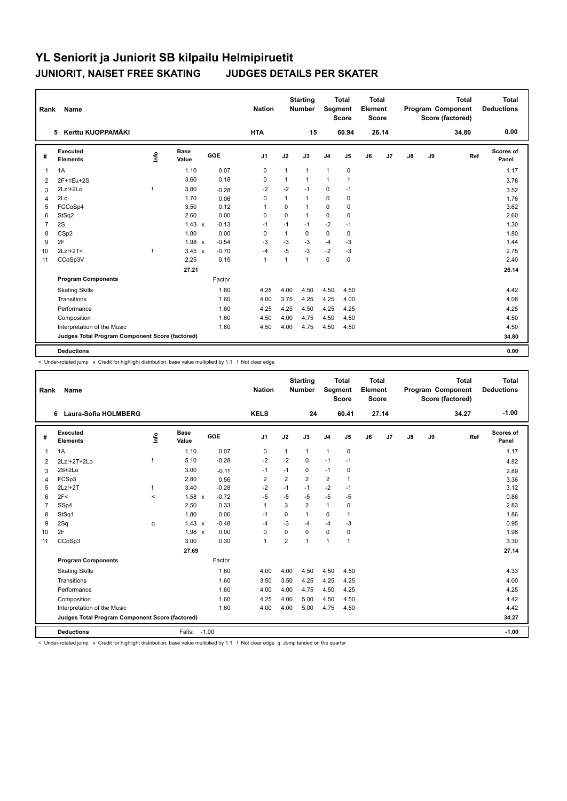| Rank           | <b>Name</b>                                     |      |               |            | <b>Nation</b>  |              | <b>Starting</b><br><b>Number</b> | Segment        | <b>Total</b><br><b>Score</b> | <b>Total</b><br>Element<br><b>Score</b> |                |               |    | <b>Total</b><br>Program Component<br>Score (factored) | <b>Total</b><br><b>Deductions</b> |
|----------------|-------------------------------------------------|------|---------------|------------|----------------|--------------|----------------------------------|----------------|------------------------------|-----------------------------------------|----------------|---------------|----|-------------------------------------------------------|-----------------------------------|
|                | Kerttu KUOPPAMÄKI<br>5.                         |      |               |            | <b>HTA</b>     |              | 15                               |                | 60.94                        |                                         | 26.14          |               |    | 34.80                                                 | 0.00                              |
| #              | Executed<br><b>Elements</b>                     | ١nfo | Base<br>Value | <b>GOE</b> | J <sub>1</sub> | J2           | J3                               | J <sub>4</sub> | J <sub>5</sub>               | J6                                      | J <sub>7</sub> | $\mathsf{J}8$ | J9 | Ref                                                   | Scores of<br>Panel                |
| $\overline{1}$ | 1A                                              |      | 1.10          | 0.07       | $\mathbf 0$    | $\mathbf{1}$ | 1                                | $\overline{1}$ | $\mathbf 0$                  |                                         |                |               |    |                                                       | 1.17                              |
| 2              | 2F+1Eu+2S                                       |      | 3.60          | 0.18       | 0              | $\mathbf{1}$ | 1                                | $\mathbf{1}$   | $\mathbf{1}$                 |                                         |                |               |    |                                                       | 3.78                              |
| 3              | 2Lz!+2Lo                                        |      | 3.80          | $-0.28$    | $-2$           | $-2$         | $-1$                             | 0              | $-1$                         |                                         |                |               |    |                                                       | 3.52                              |
| 4              | 2Lo                                             |      | 1.70          | 0.06       | 0              | $\mathbf{1}$ | $\mathbf{1}$                     | $\mathbf 0$    | 0                            |                                         |                |               |    |                                                       | 1.76                              |
| 5              | FCCoSp4                                         |      | 3.50          | 0.12       | $\overline{1}$ | $\Omega$     | 1                                | $\mathbf 0$    | $\mathbf 0$                  |                                         |                |               |    |                                                       | 3.62                              |
| 6              | StSq2                                           |      | 2.60          | 0.00       | 0              | $\Omega$     | 1                                | $\Omega$       | 0                            |                                         |                |               |    |                                                       | 2.60                              |
| $\overline{7}$ | 2S                                              |      | $1.43 \times$ | $-0.13$    | $-1$           | $-1$         | $-1$                             | $-2$           | $-1$                         |                                         |                |               |    |                                                       | 1.30                              |
| 8              | CS <sub>p2</sub>                                |      | 1.80          | 0.00       | $\mathbf 0$    | $\mathbf{1}$ | $\Omega$                         | $\mathbf 0$    | 0                            |                                         |                |               |    |                                                       | 1.80                              |
| 9              | 2F                                              |      | $1.98 \times$ | $-0.54$    | $-3$           | -3           | $-3$                             | $-4$           | -3                           |                                         |                |               |    |                                                       | 1.44                              |
| 10             | 2Lz!+2T<                                        | f,   | $3.45 \times$ | $-0.70$    | $-4$           | $-5$         | $-3$                             | $-2$           | $-3$                         |                                         |                |               |    |                                                       | 2.75                              |
| 11             | CCoSp3V                                         |      | 2.25          | 0.15       | $\overline{1}$ | $\mathbf{1}$ | 1                                | $\mathbf 0$    | $\mathbf 0$                  |                                         |                |               |    |                                                       | 2.40                              |
|                |                                                 |      | 27.21         |            |                |              |                                  |                |                              |                                         |                |               |    |                                                       | 26.14                             |
|                | <b>Program Components</b>                       |      |               | Factor     |                |              |                                  |                |                              |                                         |                |               |    |                                                       |                                   |
|                | <b>Skating Skills</b>                           |      |               | 1.60       | 4.25           | 4.00         | 4.50                             | 4.50           | 4.50                         |                                         |                |               |    |                                                       | 4.42                              |
|                | Transitions                                     |      |               | 1.60       | 4.00           | 3.75         | 4.25                             | 4.25           | 4.00                         |                                         |                |               |    |                                                       | 4.08                              |
|                | Performance                                     |      |               | 1.60       | 4.25           | 4.25         | 4.50                             | 4.25           | 4.25                         |                                         |                |               |    |                                                       | 4.25                              |
|                | Composition                                     |      |               | 1.60       | 4.50           | 4.00         | 4.75                             | 4.50           | 4.50                         |                                         |                |               |    |                                                       | 4.50                              |
|                | Interpretation of the Music                     |      |               | 1.60       | 4.50           | 4.00         | 4.75                             | 4.50           | 4.50                         |                                         |                |               |    |                                                       | 4.50                              |
|                | Judges Total Program Component Score (factored) |      |               |            |                |              |                                  |                |                              |                                         |                |               |    |                                                       | 34.80                             |
|                | <b>Deductions</b>                               |      |               |            |                |              |                                  |                |                              |                                         |                |               |    |                                                       | 0.00                              |

< Under-rotated jump x Credit for highlight distribution, base value multiplied by 1.1 ! Not clear edge

| Rank           | Name                                            |                                  |                      |         | <b>Nation</b>  |                | <b>Starting</b><br><b>Number</b> | Segment        | <b>Total</b><br><b>Score</b> | <b>Total</b><br>Element<br><b>Score</b> |       |               |    | <b>Total</b><br>Program Component<br>Score (factored) | Total<br><b>Deductions</b> |
|----------------|-------------------------------------------------|----------------------------------|----------------------|---------|----------------|----------------|----------------------------------|----------------|------------------------------|-----------------------------------------|-------|---------------|----|-------------------------------------------------------|----------------------------|
|                | Laura-Sofia HOLMBERG<br>6.                      |                                  |                      |         | <b>KELS</b>    |                | 24                               |                | 60.41                        |                                         | 27.14 |               |    | 34.27                                                 | $-1.00$                    |
| #              | Executed<br><b>Elements</b>                     | $\mathop{\mathsf{Irr}}\nolimits$ | <b>Base</b><br>Value | GOE     | J <sub>1</sub> | J2             | J3                               | J <sub>4</sub> | J5                           | J6                                      | J7    | $\mathsf{J}8$ | J9 | Ref                                                   | Scores of<br>Panel         |
| 1              | 1A                                              |                                  | 1.10                 | 0.07    | $\mathbf 0$    | $\mathbf{1}$   | $\mathbf{1}$                     | $\mathbf{1}$   | $\mathbf 0$                  |                                         |       |               |    |                                                       | 1.17                       |
| $\overline{2}$ | 2Lz!+2T+2Lo                                     |                                  | 5.10                 | $-0.28$ | $-2$           | $-2$           | 0                                | $-1$           | $-1$                         |                                         |       |               |    |                                                       | 4.82                       |
| 3              | $2S+2Lo$                                        |                                  | 3.00                 | $-0.11$ | $-1$           | $-1$           | 0                                | $-1$           | $\mathbf 0$                  |                                         |       |               |    |                                                       | 2.89                       |
| 4              | FCSp3                                           |                                  | 2.80                 | 0.56    | $\overline{2}$ | $\overline{2}$ | $\overline{2}$                   | 2              | 1                            |                                         |       |               |    |                                                       | 3.36                       |
| 5              | 2Lz!+2T                                         |                                  | 3.40                 | $-0.28$ | $-2$           | $-1$           | $-1$                             | $-2$           | $-1$                         |                                         |       |               |    |                                                       | 3.12                       |
| 6              | 2F<                                             | $\prec$                          | 1.58 x               | $-0.72$ | $-5$           | $-5$           | $-5$                             | $-5$           | $-5$                         |                                         |       |               |    |                                                       | 0.86                       |
| $\overline{7}$ | SSp4                                            |                                  | 2.50                 | 0.33    | $\mathbf{1}$   | 3              | $\overline{2}$                   | $\mathbf{1}$   | 0                            |                                         |       |               |    |                                                       | 2.83                       |
| 8              | StSq1                                           |                                  | 1.80                 | 0.06    | $-1$           | 0              | 1                                | $\mathbf 0$    | 1                            |                                         |       |               |    |                                                       | 1.86                       |
| 9              | 2Sq                                             | q                                | $1.43 \times$        | $-0.48$ | $-4$           | $-3$           | $-4$                             | $-4$           | $-3$                         |                                         |       |               |    |                                                       | 0.95                       |
| 10             | 2F                                              |                                  | $1.98 \times$        | 0.00    | $\mathbf 0$    | $\mathbf 0$    | 0                                | $\mathbf 0$    | $\mathbf 0$                  |                                         |       |               |    |                                                       | 1.98                       |
| 11             | CCoSp3                                          |                                  | 3.00                 | 0.30    | $\mathbf{1}$   | $\overline{2}$ | 1                                | $\overline{1}$ | $\mathbf{1}$                 |                                         |       |               |    |                                                       | 3.30                       |
|                |                                                 |                                  | 27.69                |         |                |                |                                  |                |                              |                                         |       |               |    |                                                       | 27.14                      |
|                | <b>Program Components</b>                       |                                  |                      | Factor  |                |                |                                  |                |                              |                                         |       |               |    |                                                       |                            |
|                | <b>Skating Skills</b>                           |                                  |                      | 1.60    | 4.00           | 4.00           | 4.50                             | 4.50           | 4.50                         |                                         |       |               |    |                                                       | 4.33                       |
|                | Transitions                                     |                                  |                      | 1.60    | 3.50           | 3.50           | 4.25                             | 4.25           | 4.25                         |                                         |       |               |    |                                                       | 4.00                       |
|                | Performance                                     |                                  |                      | 1.60    | 4.00           | 4.00           | 4.75                             | 4.50           | 4.25                         |                                         |       |               |    |                                                       | 4.25                       |
|                | Composition                                     |                                  |                      | 1.60    | 4.25           | 4.00           | 5.00                             | 4.50           | 4.50                         |                                         |       |               |    |                                                       | 4.42                       |
|                | Interpretation of the Music                     |                                  |                      | 1.60    | 4.00           | 4.00           | 5.00                             | 4.75           | 4.50                         |                                         |       |               |    |                                                       | 4.42                       |
|                | Judges Total Program Component Score (factored) |                                  |                      |         |                |                |                                  |                |                              |                                         |       |               |    |                                                       | 34.27                      |
|                | <b>Deductions</b>                               |                                  | Falls:               | $-1.00$ |                |                |                                  |                |                              |                                         |       |               |    |                                                       | $-1.00$                    |

< Under-rotated jump x Credit for highlight distribution, base value multiplied by 1.1 ! Not clear edge q Jump landed on the quarter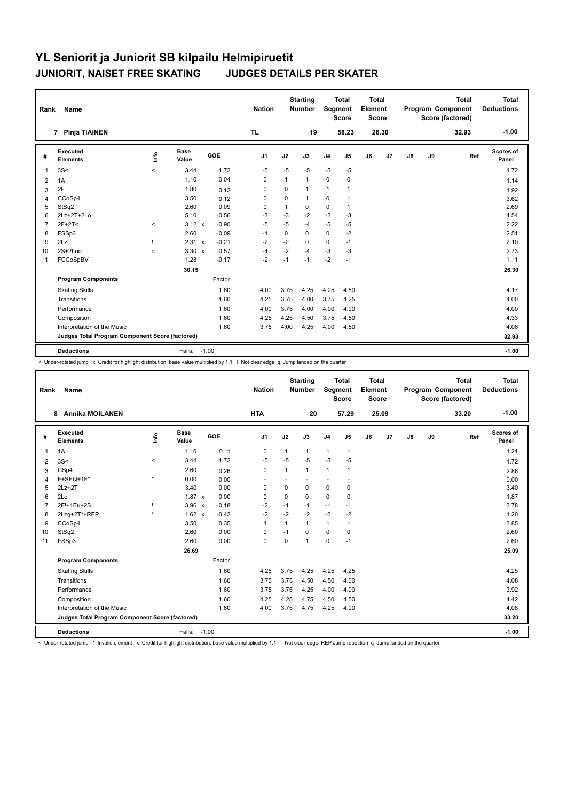| Rank           | Name                                            |         |                      |         | <b>Nation</b>  |              | <b>Starting</b><br><b>Number</b> | Segment        | <b>Total</b><br><b>Score</b> | <b>Total</b><br>Element<br><b>Score</b> |       |    |    | <b>Total</b><br>Program Component<br>Score (factored) | <b>Total</b><br><b>Deductions</b> |
|----------------|-------------------------------------------------|---------|----------------------|---------|----------------|--------------|----------------------------------|----------------|------------------------------|-----------------------------------------|-------|----|----|-------------------------------------------------------|-----------------------------------|
|                | <b>Pinja TIAINEN</b><br>7                       |         |                      |         | <b>TL</b>      |              | 19                               |                | 58.23                        |                                         | 26.30 |    |    | 32.93                                                 | $-1.00$                           |
| #              | Executed<br><b>Elements</b>                     | lnfo    | <b>Base</b><br>Value | GOE     | J <sub>1</sub> | J2           | J3                               | J <sub>4</sub> | J <sub>5</sub>               | J6                                      | J7    | J8 | J9 | Ref                                                   | Scores of<br>Panel                |
| $\overline{1}$ | 3S<                                             | $\prec$ | 3.44                 | $-1.72$ | $-5$           | $-5$         | $-5$                             | $-5$           | $-5$                         |                                         |       |    |    |                                                       | 1.72                              |
| $\overline{2}$ | 1A                                              |         | 1.10                 | 0.04    | 0              | $\mathbf{1}$ | $\mathbf{1}$                     | $\mathbf 0$    | 0                            |                                         |       |    |    |                                                       | 1.14                              |
| 3              | 2F                                              |         | 1.80                 | 0.12    | 0              | 0            | $\mathbf{1}$                     | $\mathbf{1}$   | 1                            |                                         |       |    |    |                                                       | 1.92                              |
| 4              | CCoSp4                                          |         | 3.50                 | 0.12    | 0              | 0            | $\mathbf{1}$                     | 0              | $\overline{1}$               |                                         |       |    |    |                                                       | 3.62                              |
| 5              | StSq2                                           |         | 2.60                 | 0.09    | $\Omega$       | $\mathbf{1}$ | 0                                | $\mathbf 0$    | $\mathbf{1}$                 |                                         |       |    |    |                                                       | 2.69                              |
| 6              | 2Lz+2T+2Lo                                      |         | 5.10                 | $-0.56$ | $-3$           | $-3$         | $-2$                             | $-2$           | $-3$                         |                                         |       |    |    |                                                       | 4.54                              |
| $\overline{7}$ | $2F+2T<$                                        | $\,<$   | 3.12 x               | $-0.90$ | $-5$           | $-5$         | -4                               | $-5$           | $-5$                         |                                         |       |    |    |                                                       | 2.22                              |
| 8              | FSSp3                                           |         | 2.60                 | $-0.09$ | $-1$           | $\mathbf 0$  | 0                                | $\mathbf 0$    | $-2$                         |                                         |       |    |    |                                                       | 2.51                              |
| 9              | 2Lz!                                            |         | 2.31 x               | $-0.21$ | $-2$           | $-2$         | $\Omega$                         | $\mathbf 0$    | $-1$                         |                                         |       |    |    |                                                       | 2.10                              |
| 10             | 2S+2Log                                         | q       | $3.30 \times$        | $-0.57$ | $-4$           | $-2$         | -4                               | $-3$           | $-3$                         |                                         |       |    |    |                                                       | 2.73                              |
| 11             | FCCoSpBV                                        |         | 1.28                 | $-0.17$ | $-2$           | $-1$         | $-1$                             | $-2$           | $-1$                         |                                         |       |    |    |                                                       | 1.11                              |
|                |                                                 |         | 30.15                |         |                |              |                                  |                |                              |                                         |       |    |    |                                                       | 26.30                             |
|                | <b>Program Components</b>                       |         |                      | Factor  |                |              |                                  |                |                              |                                         |       |    |    |                                                       |                                   |
|                | <b>Skating Skills</b>                           |         |                      | 1.60    | 4.00           | 3.75         | 4.25                             | 4.25           | 4.50                         |                                         |       |    |    |                                                       | 4.17                              |
|                | Transitions                                     |         |                      | 1.60    | 4.25           | 3.75         | 4.00                             | 3.75           | 4.25                         |                                         |       |    |    |                                                       | 4.00                              |
|                | Performance                                     |         |                      | 1.60    | 4.00           | 3.75         | 4.00                             | 4.00           | 4.00                         |                                         |       |    |    |                                                       | 4.00                              |
|                | Composition                                     |         |                      | 1.60    | 4.25           | 4.25         | 4.50                             | 3.75           | 4.50                         |                                         |       |    |    |                                                       | 4.33                              |
|                | Interpretation of the Music                     |         |                      | 1.60    | 3.75           | 4.00         | 4.25                             | 4.00           | 4.50                         |                                         |       |    |    |                                                       | 4.08                              |
|                | Judges Total Program Component Score (factored) |         |                      |         |                |              |                                  |                |                              |                                         |       |    |    |                                                       | 32.93                             |
|                | <b>Deductions</b>                               |         | Falls:               | $-1.00$ |                |              |                                  |                |                              |                                         |       |    |    |                                                       | $-1.00$                           |

< Under-rotated jump x Credit for highlight distribution, base value multiplied by 1.1 ! Not clear edge q Jump landed on the quarter

| Rank           | Name                                            |          |                      |            | <b>Nation</b>  |              | <b>Starting</b><br><b>Number</b> | Segment        | <b>Total</b><br><b>Score</b> | <b>Total</b><br>Element<br><b>Score</b> |                |    |    | <b>Total</b><br>Program Component<br>Score (factored) | Total<br><b>Deductions</b> |
|----------------|-------------------------------------------------|----------|----------------------|------------|----------------|--------------|----------------------------------|----------------|------------------------------|-----------------------------------------|----------------|----|----|-------------------------------------------------------|----------------------------|
|                | <b>Annika MOILANEN</b><br>8                     |          |                      |            | <b>HTA</b>     |              | 20                               |                | 57.29                        |                                         | 25.09          |    |    | 33.20                                                 | $-1.00$                    |
| #              | Executed<br><b>Elements</b>                     | ۴        | <b>Base</b><br>Value | <b>GOE</b> | J <sub>1</sub> | J2           | J3                               | J <sub>4</sub> | J <sub>5</sub>               | J6                                      | J <sub>7</sub> | J8 | J9 | Ref                                                   | Scores of<br>Panel         |
| 1              | 1A                                              |          | 1.10                 | 0.11       | 0              | $\mathbf{1}$ | $\mathbf{1}$                     | $\mathbf{1}$   | $\mathbf{1}$                 |                                         |                |    |    |                                                       | 1.21                       |
| 2              | 3S<                                             | $\hat{}$ | 3.44                 | $-1.72$    | $-5$           | $-5$         | $-5$                             | $-5$           | $-5$                         |                                         |                |    |    |                                                       | 1.72                       |
| 3              | CSp4                                            |          | 2.60                 | 0.26       | 0              | $\mathbf{1}$ | $\mathbf{1}$                     | $\mathbf{1}$   | $\mathbf{1}$                 |                                         |                |    |    |                                                       | 2.86                       |
| 4              | F+SEQ+1F*                                       | $\star$  | 0.00                 | 0.00       |                |              |                                  |                |                              |                                         |                |    |    |                                                       | 0.00                       |
| 5              | $2Lz+2T$                                        |          | 3.40                 | 0.00       | 0              | 0            | 0                                | 0              | 0                            |                                         |                |    |    |                                                       | 3.40                       |
| 6              | 2Lo                                             |          | $1.87 \times$        | 0.00       | 0              | $\mathbf 0$  | $\Omega$                         | 0              | 0                            |                                         |                |    |    |                                                       | 1.87                       |
| $\overline{7}$ | 2F!+1Eu+2S                                      |          | $3.96 \times$        | $-0.18$    | $-2$           | $-1$         | $-1$                             | $-1$           | $-1$                         |                                         |                |    |    |                                                       | 3.78                       |
| 8              | 2Lzq+2T*+REP                                    | $\star$  | $1.62 \times$        | $-0.42$    | $-2$           | $-2$         | $-2$                             | $-2$           | $-2$                         |                                         |                |    |    |                                                       | 1.20                       |
| 9              | CCoSp4                                          |          | 3.50                 | 0.35       | $\overline{1}$ | $\mathbf{1}$ | 1                                | 1              | $\mathbf{1}$                 |                                         |                |    |    |                                                       | 3.85                       |
| 10             | StSq2                                           |          | 2.60                 | 0.00       | 0              | $-1$         | $\Omega$                         | $\mathbf 0$    | 0                            |                                         |                |    |    |                                                       | 2.60                       |
| 11             | FSSp3                                           |          | 2.60                 | 0.00       | $\mathbf 0$    | $\mathbf 0$  | 1                                | 0              | $-1$                         |                                         |                |    |    |                                                       | 2.60                       |
|                |                                                 |          | 26.69                |            |                |              |                                  |                |                              |                                         |                |    |    |                                                       | 25.09                      |
|                | <b>Program Components</b>                       |          |                      | Factor     |                |              |                                  |                |                              |                                         |                |    |    |                                                       |                            |
|                | <b>Skating Skills</b>                           |          |                      | 1.60       | 4.25           | 3.75         | 4.25                             | 4.25           | 4.25                         |                                         |                |    |    |                                                       | 4.25                       |
|                | Transitions                                     |          |                      | 1.60       | 3.75           | 3.75         | 4.50                             | 4.50           | 4.00                         |                                         |                |    |    |                                                       | 4.08                       |
|                | Performance                                     |          |                      | 1.60       | 3.75           | 3.75         | 4.25                             | 4.00           | 4.00                         |                                         |                |    |    |                                                       | 3.92                       |
|                | Composition                                     |          |                      | 1.60       | 4.25           | 4.25         | 4.75                             | 4.50           | 4.50                         |                                         |                |    |    |                                                       | 4.42                       |
|                | Interpretation of the Music                     |          |                      | 1.60       | 4.00           | 3.75         | 4.75                             | 4.25           | 4.00                         |                                         |                |    |    |                                                       | 4.08                       |
|                | Judges Total Program Component Score (factored) |          |                      |            |                |              |                                  |                |                              |                                         |                |    |    |                                                       | 33.20                      |
|                | <b>Deductions</b>                               |          | Falls:               | $-1.00$    |                |              |                                  |                |                              |                                         |                |    |    |                                                       | $-1.00$                    |

< Under-rotated jump \* Invalid element x Credit for highlight distribution, base value multiplied by 1.1 ! Not clear edge REP Jump repetition q Jump landed on the quarter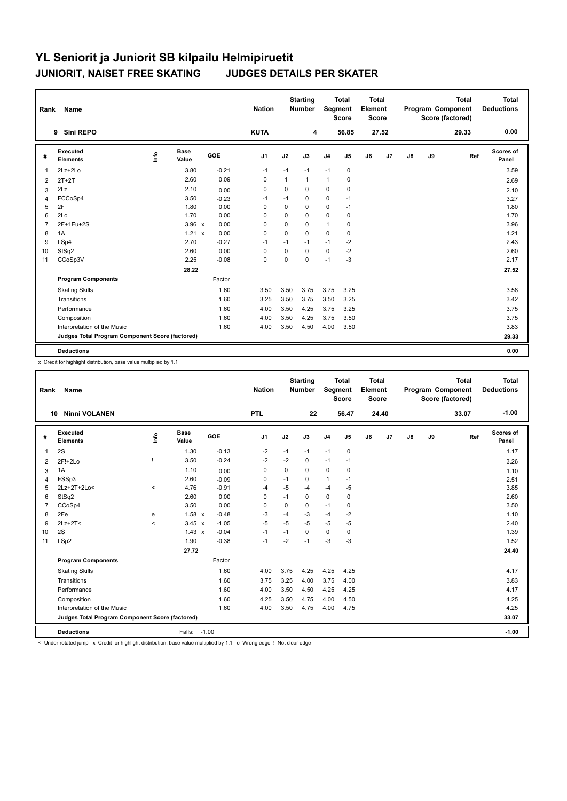| Rank           | Name                                            |      |                      |         | <b>Nation</b> |          | <b>Starting</b><br>Number | Segment        | <b>Total</b><br><b>Score</b> | <b>Total</b><br>Element<br><b>Score</b> |       |               |    | <b>Total</b><br><b>Program Component</b><br>Score (factored) | Total<br><b>Deductions</b> |
|----------------|-------------------------------------------------|------|----------------------|---------|---------------|----------|---------------------------|----------------|------------------------------|-----------------------------------------|-------|---------------|----|--------------------------------------------------------------|----------------------------|
|                | Sini REPO<br>9                                  |      |                      |         | <b>KUTA</b>   |          | 4                         |                | 56.85                        |                                         | 27.52 |               |    | 29.33                                                        | 0.00                       |
| #              | Executed<br><b>Elements</b>                     | ١nfo | <b>Base</b><br>Value | GOE     | J1            | J2       | J3                        | J <sub>4</sub> | J5                           | J6                                      | J7    | $\mathsf{J}8$ | J9 | Ref                                                          | Scores of<br>Panel         |
| $\overline{1}$ | $2Lz + 2Lo$                                     |      | 3.80                 | $-0.21$ | $-1$          | $-1$     | $-1$                      | $-1$           | $\pmb{0}$                    |                                         |       |               |    |                                                              | 3.59                       |
| 2              | $2T+2T$                                         |      | 2.60                 | 0.09    | 0             | 1        | $\mathbf{1}$              | $\mathbf{1}$   | 0                            |                                         |       |               |    |                                                              | 2.69                       |
| 3              | 2Lz                                             |      | 2.10                 | 0.00    | 0             | 0        | 0                         | 0              | 0                            |                                         |       |               |    |                                                              | 2.10                       |
| $\overline{4}$ | FCCoSp4                                         |      | 3.50                 | $-0.23$ | -1            | $-1$     | 0                         | 0              | $-1$                         |                                         |       |               |    |                                                              | 3.27                       |
| 5              | 2F                                              |      | 1.80                 | 0.00    | $\Omega$      | $\Omega$ | $\Omega$                  | 0              | $-1$                         |                                         |       |               |    |                                                              | 1.80                       |
| 6              | 2Lo                                             |      | 1.70                 | 0.00    | $\Omega$      | $\Omega$ | $\Omega$                  | $\mathbf 0$    | $\mathbf 0$                  |                                         |       |               |    |                                                              | 1.70                       |
| $\overline{7}$ | 2F+1Eu+2S                                       |      | $3.96 \times$        | 0.00    | 0             | $\Omega$ | 0                         | $\mathbf{1}$   | 0                            |                                         |       |               |    |                                                              | 3.96                       |
| 8              | 1A                                              |      | 1.21 x               | 0.00    | 0             | 0        | 0                         | $\mathbf 0$    | 0                            |                                         |       |               |    |                                                              | 1.21                       |
| 9              | LSp4                                            |      | 2.70                 | $-0.27$ | $-1$          | $-1$     | $-1$                      | $-1$           | $-2$                         |                                         |       |               |    |                                                              | 2.43                       |
| 10             | StSq2                                           |      | 2.60                 | 0.00    | 0             | 0        | $\Omega$                  | $\mathbf 0$    | $-2$                         |                                         |       |               |    |                                                              | 2.60                       |
| 11             | CCoSp3V                                         |      | 2.25                 | $-0.08$ | $\mathbf 0$   | $\Omega$ | $\Omega$                  | $-1$           | $-3$                         |                                         |       |               |    |                                                              | 2.17                       |
|                |                                                 |      | 28.22                |         |               |          |                           |                |                              |                                         |       |               |    |                                                              | 27.52                      |
|                | <b>Program Components</b>                       |      |                      | Factor  |               |          |                           |                |                              |                                         |       |               |    |                                                              |                            |
|                | <b>Skating Skills</b>                           |      |                      | 1.60    | 3.50          | 3.50     | 3.75                      | 3.75           | 3.25                         |                                         |       |               |    |                                                              | 3.58                       |
|                | Transitions                                     |      |                      | 1.60    | 3.25          | 3.50     | 3.75                      | 3.50           | 3.25                         |                                         |       |               |    |                                                              | 3.42                       |
|                | Performance                                     |      |                      | 1.60    | 4.00          | 3.50     | 4.25                      | 3.75           | 3.25                         |                                         |       |               |    |                                                              | 3.75                       |
|                | Composition                                     |      |                      | 1.60    | 4.00          | 3.50     | 4.25                      | 3.75           | 3.50                         |                                         |       |               |    |                                                              | 3.75                       |
|                | Interpretation of the Music                     |      |                      | 1.60    | 4.00          | 3.50     | 4.50                      | 4.00           | 3.50                         |                                         |       |               |    |                                                              | 3.83                       |
|                | Judges Total Program Component Score (factored) |      |                      |         |               |          |                           |                |                              |                                         |       |               |    |                                                              | 29.33                      |
|                | <b>Deductions</b>                               |      |                      |         |               |          |                           |                |                              |                                         |       |               |    |                                                              | 0.00                       |

x Credit for highlight distribution, base value multiplied by 1.1

| Rank           | Name                                            |         |                      |         | <b>Nation</b>  |      | <b>Starting</b><br><b>Number</b> | Segment        | <b>Total</b><br><b>Score</b> | Total<br>Element<br><b>Score</b> |       |               |    | <b>Total</b><br>Program Component<br>Score (factored) | <b>Total</b><br><b>Deductions</b> |
|----------------|-------------------------------------------------|---------|----------------------|---------|----------------|------|----------------------------------|----------------|------------------------------|----------------------------------|-------|---------------|----|-------------------------------------------------------|-----------------------------------|
|                | <b>Ninni VOLANEN</b><br>10                      |         |                      |         | <b>PTL</b>     |      | 22                               |                | 56.47                        |                                  | 24.40 |               |    | 33.07                                                 | $-1.00$                           |
| #              | Executed<br><b>Elements</b>                     | lnfo    | <b>Base</b><br>Value | GOE     | J <sub>1</sub> | J2   | J3                               | J <sub>4</sub> | J5                           | J6                               | J7    | $\mathsf{J}8$ | J9 | Ref                                                   | <b>Scores of</b><br>Panel         |
| 1              | 2S                                              |         | 1.30                 | $-0.13$ | $-2$           | $-1$ | $-1$                             | $-1$           | 0                            |                                  |       |               |    |                                                       | 1.17                              |
| 2              | $2F!+2Lo$                                       |         | 3.50                 | $-0.24$ | $-2$           | $-2$ | $\Omega$                         | $-1$           | $-1$                         |                                  |       |               |    |                                                       | 3.26                              |
| 3              | 1A                                              |         | 1.10                 | 0.00    | 0              | 0    | $\Omega$                         | 0              | 0                            |                                  |       |               |    |                                                       | 1.10                              |
| 4              | FSSp3                                           |         | 2.60                 | $-0.09$ | 0              | $-1$ | 0                                | $\mathbf{1}$   | $-1$                         |                                  |       |               |    |                                                       | 2.51                              |
| 5              | 2Lz+2T+2Lo<                                     | $\prec$ | 4.76                 | $-0.91$ | $-4$           | $-5$ | $-4$                             | $-4$           | $-5$                         |                                  |       |               |    |                                                       | 3.85                              |
| 6              | StSq2                                           |         | 2.60                 | 0.00    | 0              | $-1$ | 0                                | $\mathbf 0$    | 0                            |                                  |       |               |    |                                                       | 2.60                              |
| $\overline{7}$ | CCoSp4                                          |         | 3.50                 | 0.00    | 0              | 0    | 0                                | $-1$           | 0                            |                                  |       |               |    |                                                       | 3.50                              |
| 8              | 2Fe                                             | e       | 1.58 x               | $-0.48$ | -3             | $-4$ | $-3$                             | $-4$           | $-2$                         |                                  |       |               |    |                                                       | 1.10                              |
| 9              | $2Lz+2T2$                                       | $\prec$ | $3.45 \times$        | $-1.05$ | $-5$           | $-5$ | $-5$                             | $-5$           | $-5$                         |                                  |       |               |    |                                                       | 2.40                              |
| 10             | 2S                                              |         | $1.43 \times$        | $-0.04$ | $-1$           | $-1$ | 0                                | $\mathbf 0$    | 0                            |                                  |       |               |    |                                                       | 1.39                              |
| 11             | LSp2                                            |         | 1.90                 | $-0.38$ | $-1$           | $-2$ | $-1$                             | $-3$           | $-3$                         |                                  |       |               |    |                                                       | 1.52                              |
|                |                                                 |         | 27.72                |         |                |      |                                  |                |                              |                                  |       |               |    |                                                       | 24.40                             |
|                | <b>Program Components</b>                       |         |                      | Factor  |                |      |                                  |                |                              |                                  |       |               |    |                                                       |                                   |
|                | <b>Skating Skills</b>                           |         |                      | 1.60    | 4.00           | 3.75 | 4.25                             | 4.25           | 4.25                         |                                  |       |               |    |                                                       | 4.17                              |
|                | Transitions                                     |         |                      | 1.60    | 3.75           | 3.25 | 4.00                             | 3.75           | 4.00                         |                                  |       |               |    |                                                       | 3.83                              |
|                | Performance                                     |         |                      | 1.60    | 4.00           | 3.50 | 4.50                             | 4.25           | 4.25                         |                                  |       |               |    |                                                       | 4.17                              |
|                | Composition                                     |         |                      | 1.60    | 4.25           | 3.50 | 4.75                             | 4.00           | 4.50                         |                                  |       |               |    |                                                       | 4.25                              |
|                | Interpretation of the Music                     |         |                      | 1.60    | 4.00           | 3.50 | 4.75                             | 4.00           | 4.75                         |                                  |       |               |    |                                                       | 4.25                              |
|                | Judges Total Program Component Score (factored) |         |                      |         |                |      |                                  |                |                              |                                  |       |               |    |                                                       | 33.07                             |
|                | <b>Deductions</b>                               |         | Falls: -1.00         |         |                |      |                                  |                |                              |                                  |       |               |    |                                                       | $-1.00$                           |

< Under-rotated jump x Credit for highlight distribution, base value multiplied by 1.1 e Wrong edge ! Not clear edge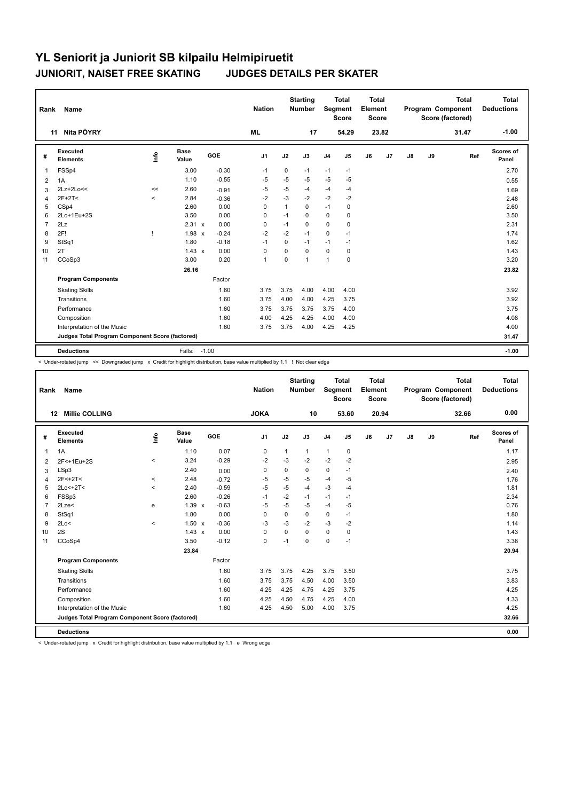| Rank           | <b>Name</b>                                     |         |                      |            | <b>Nation</b>  |              | <b>Starting</b><br><b>Number</b> | Segment        | <b>Total</b><br><b>Score</b> | Total<br>Element<br><b>Score</b> |                |    |    | <b>Total</b><br>Program Component<br>Score (factored) | <b>Total</b><br><b>Deductions</b> |
|----------------|-------------------------------------------------|---------|----------------------|------------|----------------|--------------|----------------------------------|----------------|------------------------------|----------------------------------|----------------|----|----|-------------------------------------------------------|-----------------------------------|
|                | Nita PÖYRY<br>11                                |         |                      |            | <b>ML</b>      |              | 17                               |                | 54.29                        |                                  | 23.82          |    |    | 31.47                                                 | $-1.00$                           |
| #              | Executed<br><b>Elements</b>                     | lnfo    | <b>Base</b><br>Value | <b>GOE</b> | J <sub>1</sub> | J2           | J3                               | J <sub>4</sub> | J5                           | J6                               | J <sub>7</sub> | J8 | J9 | Ref                                                   | <b>Scores of</b><br>Panel         |
| $\overline{1}$ | FSSp4                                           |         | 3.00                 | $-0.30$    | $-1$           | 0            | $-1$                             | $-1$           | $-1$                         |                                  |                |    |    |                                                       | 2.70                              |
| 2              | 1A                                              |         | 1.10                 | $-0.55$    | -5             | $-5$         | $-5$                             | $-5$           | -5                           |                                  |                |    |    |                                                       | 0.55                              |
| 3              | 2Lz+2Lo<<                                       | <<      | 2.60                 | $-0.91$    | $-5$           | $-5$         | $-4$                             | $-4$           | $-4$                         |                                  |                |    |    |                                                       | 1.69                              |
| $\overline{4}$ | $2F+2T<$                                        | $\prec$ | 2.84                 | $-0.36$    | $-2$           | $-3$         | $-2$                             | $-2$           | $-2$                         |                                  |                |    |    |                                                       | 2.48                              |
| 5              | CSp4                                            |         | 2.60                 | 0.00       | $\Omega$       | $\mathbf{1}$ | $\Omega$                         | $-1$           | 0                            |                                  |                |    |    |                                                       | 2.60                              |
| 6              | 2Lo+1Eu+2S                                      |         | 3.50                 | 0.00       | 0              | $-1$         | 0                                | 0              | 0                            |                                  |                |    |    |                                                       | 3.50                              |
| $\overline{7}$ | 2Lz                                             |         | 2.31 x               | 0.00       | $\mathbf 0$    | $-1$         | $\Omega$                         | $\mathbf 0$    | $\mathbf 0$                  |                                  |                |    |    |                                                       | 2.31                              |
| 8              | 2F!                                             |         | $1.98 \times$        | $-0.24$    | $-2$           | $-2$         | $-1$                             | $\mathbf 0$    | $-1$                         |                                  |                |    |    |                                                       | 1.74                              |
| 9              | StSq1                                           |         | 1.80                 | $-0.18$    | $-1$           | 0            | $-1$                             | $-1$           | $-1$                         |                                  |                |    |    |                                                       | 1.62                              |
| 10             | 2T                                              |         | $1.43 \times$        | 0.00       | 0              | 0            | 0                                | $\mathbf 0$    | 0                            |                                  |                |    |    |                                                       | 1.43                              |
| 11             | CCoSp3                                          |         | 3.00                 | 0.20       | $\mathbf{1}$   | $\Omega$     | 1                                | $\overline{1}$ | $\mathbf 0$                  |                                  |                |    |    |                                                       | 3.20                              |
|                |                                                 |         | 26.16                |            |                |              |                                  |                |                              |                                  |                |    |    |                                                       | 23.82                             |
|                | <b>Program Components</b>                       |         |                      | Factor     |                |              |                                  |                |                              |                                  |                |    |    |                                                       |                                   |
|                | <b>Skating Skills</b>                           |         |                      | 1.60       | 3.75           | 3.75         | 4.00                             | 4.00           | 4.00                         |                                  |                |    |    |                                                       | 3.92                              |
|                | Transitions                                     |         |                      | 1.60       | 3.75           | 4.00         | 4.00                             | 4.25           | 3.75                         |                                  |                |    |    |                                                       | 3.92                              |
|                | Performance                                     |         |                      | 1.60       | 3.75           | 3.75         | 3.75                             | 3.75           | 4.00                         |                                  |                |    |    |                                                       | 3.75                              |
|                | Composition                                     |         |                      | 1.60       | 4.00           | 4.25         | 4.25                             | 4.00           | 4.00                         |                                  |                |    |    |                                                       | 4.08                              |
|                | Interpretation of the Music                     |         |                      | 1.60       | 3.75           | 3.75         | 4.00                             | 4.25           | 4.25                         |                                  |                |    |    |                                                       | 4.00                              |
|                | Judges Total Program Component Score (factored) |         |                      |            |                |              |                                  |                |                              |                                  |                |    |    |                                                       | 31.47                             |
|                | <b>Deductions</b>                               |         | Falls:               | $-1.00$    |                |              |                                  |                |                              |                                  |                |    |    |                                                       | $-1.00$                           |

< Under-rotated jump << Downgraded jump x Credit for highlight distribution, base value multiplied by 1.1 ! Not clear edge

| Rank           | Name                                            |                          |                      |         | <b>Nation</b>  |              | <b>Starting</b><br><b>Number</b> |                | <b>Total</b><br>Segment<br><b>Score</b> | <b>Total</b><br>Element<br><b>Score</b> |       |    |    | <b>Total</b><br>Program Component<br>Score (factored) | <b>Total</b><br><b>Deductions</b> |
|----------------|-------------------------------------------------|--------------------------|----------------------|---------|----------------|--------------|----------------------------------|----------------|-----------------------------------------|-----------------------------------------|-------|----|----|-------------------------------------------------------|-----------------------------------|
|                | <b>Millie COLLING</b><br>12                     |                          |                      |         | <b>JOKA</b>    |              | 10                               |                | 53.60                                   |                                         | 20.94 |    |    | 32.66                                                 | 0.00                              |
| #              | <b>Executed</b><br><b>Elements</b>              | ۴                        | <b>Base</b><br>Value | GOE     | J <sub>1</sub> | J2           | J3                               | J <sub>4</sub> | J5                                      | J6                                      | J7    | J8 | J9 | Ref                                                   | Scores of<br>Panel                |
| 1              | 1A                                              |                          | 1.10                 | 0.07    | $\mathbf 0$    | $\mathbf{1}$ | $\mathbf{1}$                     | $\mathbf{1}$   | $\pmb{0}$                               |                                         |       |    |    |                                                       | 1.17                              |
| 2              | 2F<+1Eu+2S                                      | $\prec$                  | 3.24                 | $-0.29$ | $-2$           | $-3$         | $-2$                             | $-2$           | $-2$                                    |                                         |       |    |    |                                                       | 2.95                              |
| 3              | LSp3                                            |                          | 2.40                 | 0.00    | 0              | $\mathbf 0$  | 0                                | 0              | $-1$                                    |                                         |       |    |    |                                                       | 2.40                              |
| $\overline{4}$ | 2F<+2T<                                         | $\,<\,$                  | 2.48                 | $-0.72$ | $-5$           | $-5$         | $-5$                             | $-4$           | $-5$                                    |                                         |       |    |    |                                                       | 1.76                              |
| 5              | $2Lo<+2T<$                                      | $\overline{\phantom{0}}$ | 2.40                 | $-0.59$ | $-5$           | $-5$         | -4                               | $-3$           | $-4$                                    |                                         |       |    |    |                                                       | 1.81                              |
| 6              | FSSp3                                           |                          | 2.60                 | $-0.26$ | $-1$           | $-2$         | $-1$                             | $-1$           | $-1$                                    |                                         |       |    |    |                                                       | 2.34                              |
| $\overline{7}$ | 2Lze<                                           | e                        | $1.39 \times$        | $-0.63$ | $-5$           | $-5$         | $-5$                             | $-4$           | $-5$                                    |                                         |       |    |    |                                                       | 0.76                              |
| 8              | StSq1                                           |                          | 1.80                 | 0.00    | 0              | 0            | 0                                | 0              | $-1$                                    |                                         |       |    |    |                                                       | 1.80                              |
| 9              | 2Lo<                                            | $\hat{\phantom{a}}$      | $1.50 \times$        | $-0.36$ | $-3$           | $-3$         | $-2$                             | $-3$           | $-2$                                    |                                         |       |    |    |                                                       | 1.14                              |
| 10             | 2S                                              |                          | $1.43 \times$        | 0.00    | $\Omega$       | $\Omega$     | $\Omega$                         | 0              | 0                                       |                                         |       |    |    |                                                       | 1.43                              |
| 11             | CCoSp4                                          |                          | 3.50                 | $-0.12$ | $\mathbf 0$    | $-1$         | $\mathbf 0$                      | 0              | $-1$                                    |                                         |       |    |    |                                                       | 3.38                              |
|                |                                                 |                          | 23.84                |         |                |              |                                  |                |                                         |                                         |       |    |    |                                                       | 20.94                             |
|                | <b>Program Components</b>                       |                          |                      | Factor  |                |              |                                  |                |                                         |                                         |       |    |    |                                                       |                                   |
|                | <b>Skating Skills</b>                           |                          |                      | 1.60    | 3.75           | 3.75         | 4.25                             | 3.75           | 3.50                                    |                                         |       |    |    |                                                       | 3.75                              |
|                | Transitions                                     |                          |                      | 1.60    | 3.75           | 3.75         | 4.50                             | 4.00           | 3.50                                    |                                         |       |    |    |                                                       | 3.83                              |
|                | Performance                                     |                          |                      | 1.60    | 4.25           | 4.25         | 4.75                             | 4.25           | 3.75                                    |                                         |       |    |    |                                                       | 4.25                              |
|                | Composition                                     |                          |                      | 1.60    | 4.25           | 4.50         | 4.75                             | 4.25           | 4.00                                    |                                         |       |    |    |                                                       | 4.33                              |
|                | Interpretation of the Music                     |                          |                      | 1.60    | 4.25           | 4.50         | 5.00                             | 4.00           | 3.75                                    |                                         |       |    |    |                                                       | 4.25                              |
|                | Judges Total Program Component Score (factored) |                          |                      |         |                |              |                                  |                |                                         |                                         |       |    |    |                                                       | 32.66                             |
|                | <b>Deductions</b>                               |                          |                      |         |                |              |                                  |                |                                         |                                         |       |    |    |                                                       | 0.00                              |

< Under-rotated jump x Credit for highlight distribution, base value multiplied by 1.1 e Wrong edge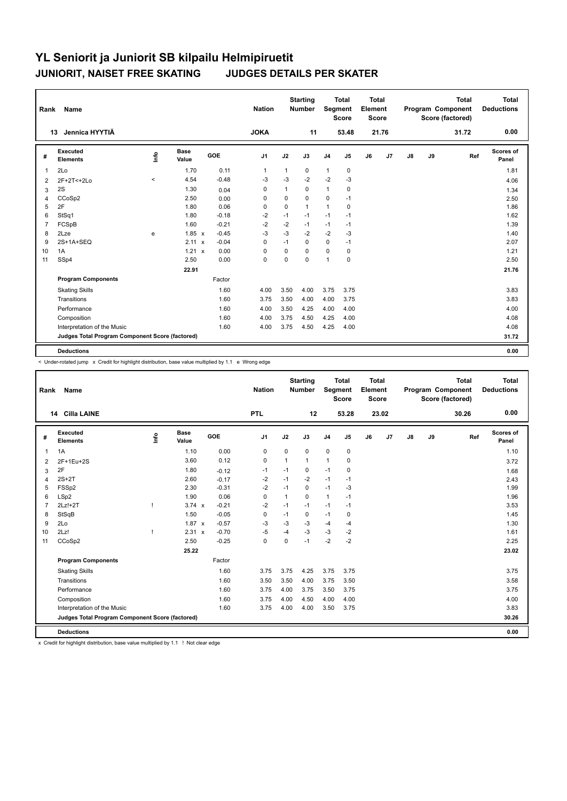| Rank           | <b>Name</b>                                     |            |                      |            | <b>Nation</b>  |              | <b>Starting</b><br><b>Number</b> | <b>Segment</b> | <b>Total</b><br><b>Score</b> | <b>Total</b><br>Element<br>Score |                |               |    | <b>Total</b><br>Program Component<br>Score (factored) | <b>Total</b><br><b>Deductions</b> |
|----------------|-------------------------------------------------|------------|----------------------|------------|----------------|--------------|----------------------------------|----------------|------------------------------|----------------------------------|----------------|---------------|----|-------------------------------------------------------|-----------------------------------|
|                | Jennica HYYTIÄ<br>13                            |            |                      |            | <b>JOKA</b>    |              | 11                               |                | 53.48                        |                                  | 21.76          |               |    | 31.72                                                 | 0.00                              |
| #              | Executed<br><b>Elements</b>                     | <u>f</u> o | <b>Base</b><br>Value | <b>GOE</b> | J <sub>1</sub> | J2           | J3                               | J <sub>4</sub> | J <sub>5</sub>               | J6                               | J <sub>7</sub> | $\mathsf{J}8$ | J9 | Ref                                                   | Scores of<br>Panel                |
| $\mathbf{1}$   | 2Lo                                             |            | 1.70                 | 0.11       | $\mathbf{1}$   | $\mathbf{1}$ | 0                                | $\mathbf{1}$   | 0                            |                                  |                |               |    |                                                       | 1.81                              |
| 2              | 2F+2T<+2Lo                                      | $\hat{}$   | 4.54                 | $-0.48$    | $-3$           | $-3$         | $-2$                             | $-2$           | $-3$                         |                                  |                |               |    |                                                       | 4.06                              |
| 3              | 2S                                              |            | 1.30                 | 0.04       | 0              | 1            | 0                                | $\mathbf{1}$   | 0                            |                                  |                |               |    |                                                       | 1.34                              |
| 4              | CCoSp2                                          |            | 2.50                 | 0.00       | $\mathbf 0$    | $\mathbf 0$  | 0                                | $\mathbf 0$    | $-1$                         |                                  |                |               |    |                                                       | 2.50                              |
| 5              | 2F                                              |            | 1.80                 | 0.06       | 0              | 0            | 1                                | $\mathbf{1}$   | 0                            |                                  |                |               |    |                                                       | 1.86                              |
| 6              | StSq1                                           |            | 1.80                 | $-0.18$    | $-2$           | $-1$         | $-1$                             | $-1$           | $-1$                         |                                  |                |               |    |                                                       | 1.62                              |
| $\overline{7}$ | FCSpB                                           |            | 1.60                 | $-0.21$    | $-2$           | $-2$         | $-1$                             | $-1$           | $-1$                         |                                  |                |               |    |                                                       | 1.39                              |
| 8              | 2Lze                                            | e          | $1.85 \times$        | $-0.45$    | $-3$           | $-3$         | $-2$                             | $-2$           | $-3$                         |                                  |                |               |    |                                                       | 1.40                              |
| 9              | 2S+1A+SEQ                                       |            | 2.11<br>$\mathsf{x}$ | $-0.04$    | 0              | $-1$         | 0                                | 0              | $-1$                         |                                  |                |               |    |                                                       | 2.07                              |
| 10             | 1A                                              |            | 1.21 x               | 0.00       | 0              | 0            | $\Omega$                         | $\mathbf 0$    | 0                            |                                  |                |               |    |                                                       | 1.21                              |
| 11             | SSp4                                            |            | 2.50                 | 0.00       | $\mathbf 0$    | $\mathbf 0$  | 0                                | $\mathbf{1}$   | $\mathbf 0$                  |                                  |                |               |    |                                                       | 2.50                              |
|                |                                                 |            | 22.91                |            |                |              |                                  |                |                              |                                  |                |               |    |                                                       | 21.76                             |
|                | <b>Program Components</b>                       |            |                      | Factor     |                |              |                                  |                |                              |                                  |                |               |    |                                                       |                                   |
|                | <b>Skating Skills</b>                           |            |                      | 1.60       | 4.00           | 3.50         | 4.00                             | 3.75           | 3.75                         |                                  |                |               |    |                                                       | 3.83                              |
|                | Transitions                                     |            |                      | 1.60       | 3.75           | 3.50         | 4.00                             | 4.00           | 3.75                         |                                  |                |               |    |                                                       | 3.83                              |
|                | Performance                                     |            |                      | 1.60       | 4.00           | 3.50         | 4.25                             | 4.00           | 4.00                         |                                  |                |               |    |                                                       | 4.00                              |
|                | Composition                                     |            |                      | 1.60       | 4.00           | 3.75         | 4.50                             | 4.25           | 4.00                         |                                  |                |               |    |                                                       | 4.08                              |
|                | Interpretation of the Music                     |            |                      | 1.60       | 4.00           | 3.75         | 4.50                             | 4.25           | 4.00                         |                                  |                |               |    |                                                       | 4.08                              |
|                | Judges Total Program Component Score (factored) |            |                      |            |                |              |                                  |                |                              |                                  |                |               |    |                                                       | 31.72                             |
|                | <b>Deductions</b>                               |            |                      |            |                |              |                                  |                |                              |                                  |                |               |    |                                                       | 0.00                              |

< Under-rotated jump x Credit for highlight distribution, base value multiplied by 1.1 e Wrong edge

| Rank           | <b>Name</b>                                     |              |                      |            | <b>Nation</b>  |      | <b>Starting</b><br><b>Number</b> | Segment        | <b>Total</b><br><b>Score</b> | Total<br>Element<br><b>Score</b> |       |    |    | <b>Total</b><br>Program Component<br>Score (factored) | <b>Total</b><br><b>Deductions</b> |
|----------------|-------------------------------------------------|--------------|----------------------|------------|----------------|------|----------------------------------|----------------|------------------------------|----------------------------------|-------|----|----|-------------------------------------------------------|-----------------------------------|
|                | 14 Cilla LAINE                                  |              |                      |            | <b>PTL</b>     |      | 12                               |                | 53.28                        |                                  | 23.02 |    |    | 30.26                                                 | 0.00                              |
| #              | Executed<br><b>Elements</b>                     | ۴ů           | <b>Base</b><br>Value | <b>GOE</b> | J <sub>1</sub> | J2   | J3                               | J <sub>4</sub> | J5                           | J6                               | J7    | J8 | J9 | Ref                                                   | Scores of<br>Panel                |
| $\mathbf{1}$   | 1A                                              |              | 1.10                 | 0.00       | 0              | 0    | 0                                | $\mathbf 0$    | $\mathbf 0$                  |                                  |       |    |    |                                                       | 1.10                              |
| 2              | 2F+1Eu+2S                                       |              | 3.60                 | 0.12       | 0              | 1    | 1                                | $\overline{1}$ | 0                            |                                  |       |    |    |                                                       | 3.72                              |
| 3              | 2F                                              |              | 1.80                 | $-0.12$    | -1             | $-1$ | 0                                | $-1$           | 0                            |                                  |       |    |    |                                                       | 1.68                              |
| 4              | $2S+2T$                                         |              | 2.60                 | $-0.17$    | $-2$           | $-1$ | $-2$                             | $-1$           | $-1$                         |                                  |       |    |    |                                                       | 2.43                              |
| 5              | FSS <sub>p2</sub>                               |              | 2.30                 | $-0.31$    | $-2$           | $-1$ | 0                                | $-1$           | $-3$                         |                                  |       |    |    |                                                       | 1.99                              |
| 6              | LSp2                                            |              | 1.90                 | 0.06       | $\mathbf 0$    | 1    | $\Omega$                         | $\mathbf{1}$   | $-1$                         |                                  |       |    |    |                                                       | 1.96                              |
| $\overline{7}$ | $2Lz!+2T$                                       | f,           | $3.74 \times$        | $-0.21$    | $-2$           | $-1$ | $-1$                             | $-1$           | $-1$                         |                                  |       |    |    |                                                       | 3.53                              |
| 8              | StSqB                                           |              | 1.50                 | $-0.05$    | 0              | $-1$ | 0                                | $-1$           | 0                            |                                  |       |    |    |                                                       | 1.45                              |
| 9              | 2Lo                                             |              | $1.87 \times$        | $-0.57$    | $-3$           | $-3$ | $-3$                             | $-4$           | $-4$                         |                                  |       |    |    |                                                       | 1.30                              |
| 10             | 2Lz!                                            | $\mathbf{I}$ | 2.31 x               | $-0.70$    | $-5$           | $-4$ | $-3$                             | $-3$           | $-2$                         |                                  |       |    |    |                                                       | 1.61                              |
| 11             | CCoSp2                                          |              | 2.50                 | $-0.25$    | $\pmb{0}$      | 0    | $-1$                             | $-2$           | $-2$                         |                                  |       |    |    |                                                       | 2.25                              |
|                |                                                 |              | 25.22                |            |                |      |                                  |                |                              |                                  |       |    |    |                                                       | 23.02                             |
|                | <b>Program Components</b>                       |              |                      | Factor     |                |      |                                  |                |                              |                                  |       |    |    |                                                       |                                   |
|                | <b>Skating Skills</b>                           |              |                      | 1.60       | 3.75           | 3.75 | 4.25                             | 3.75           | 3.75                         |                                  |       |    |    |                                                       | 3.75                              |
|                | Transitions                                     |              |                      | 1.60       | 3.50           | 3.50 | 4.00                             | 3.75           | 3.50                         |                                  |       |    |    |                                                       | 3.58                              |
|                | Performance                                     |              |                      | 1.60       | 3.75           | 4.00 | 3.75                             | 3.50           | 3.75                         |                                  |       |    |    |                                                       | 3.75                              |
|                | Composition                                     |              |                      | 1.60       | 3.75           | 4.00 | 4.50                             | 4.00           | 4.00                         |                                  |       |    |    |                                                       | 4.00                              |
|                | Interpretation of the Music                     |              |                      | 1.60       | 3.75           | 4.00 | 4.00                             | 3.50           | 3.75                         |                                  |       |    |    |                                                       | 3.83                              |
|                | Judges Total Program Component Score (factored) |              |                      |            |                |      |                                  |                |                              |                                  |       |    |    |                                                       | 30.26                             |
|                | <b>Deductions</b>                               |              |                      |            |                |      |                                  |                |                              |                                  |       |    |    |                                                       | 0.00                              |

x Credit for highlight distribution, base value multiplied by 1.1 ! Not clear edge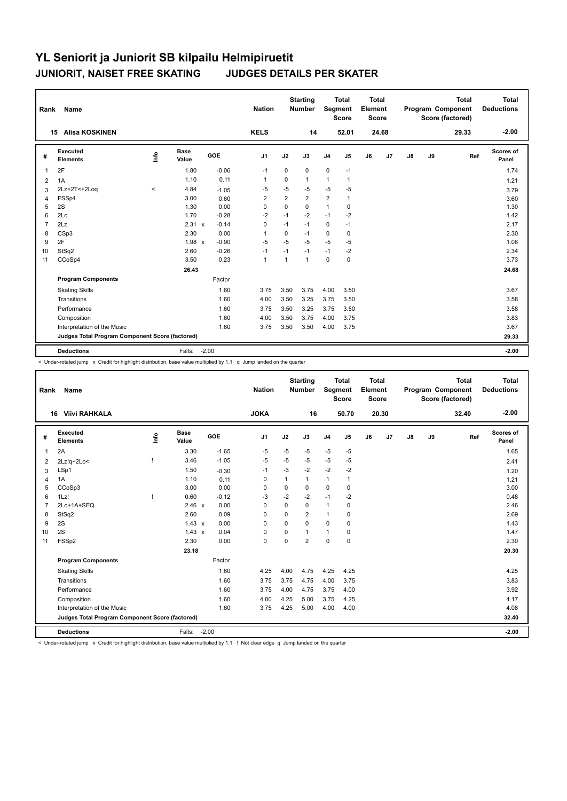| Rank           | Name                                            |       |                      |         | <b>Nation</b>  |                | <b>Starting</b><br>Number | <b>Segment</b> | <b>Total</b><br><b>Score</b> | <b>Total</b><br>Element<br><b>Score</b> |       |               |    | <b>Total</b><br>Program Component<br>Score (factored) | Total<br><b>Deductions</b> |
|----------------|-------------------------------------------------|-------|----------------------|---------|----------------|----------------|---------------------------|----------------|------------------------------|-----------------------------------------|-------|---------------|----|-------------------------------------------------------|----------------------------|
|                | <b>Alisa KOSKINEN</b><br>15                     |       |                      |         | <b>KELS</b>    |                | 14                        |                | 52.01                        |                                         | 24.68 |               |    | 29.33                                                 | $-2.00$                    |
| #              | Executed<br><b>Elements</b>                     | ۴ů    | <b>Base</b><br>Value | GOE     | J1             | J2             | J3                        | J <sub>4</sub> | J5                           | J6                                      | J7    | $\mathsf{J}8$ | J9 | Ref                                                   | <b>Scores of</b><br>Panel  |
| $\mathbf{1}$   | 2F                                              |       | 1.80                 | $-0.06$ | $-1$           | 0              | 0                         | $\mathbf 0$    | $-1$                         |                                         |       |               |    |                                                       | 1.74                       |
| 2              | 1A                                              |       | 1.10                 | 0.11    | $\mathbf 1$    | 0              | 1                         | $\mathbf{1}$   | 1                            |                                         |       |               |    |                                                       | 1.21                       |
| 3              | 2Lz+2T<+2Loq                                    | $\,<$ | 4.84                 | $-1.05$ | $-5$           | $-5$           | $-5$                      | $-5$           | $-5$                         |                                         |       |               |    |                                                       | 3.79                       |
| 4              | FSSp4                                           |       | 3.00                 | 0.60    | $\overline{2}$ | $\overline{2}$ | $\overline{2}$            | $\overline{2}$ | $\mathbf{1}$                 |                                         |       |               |    |                                                       | 3.60                       |
| 5              | 2S                                              |       | 1.30                 | 0.00    | $\mathbf 0$    | 0              | $\Omega$                  | $\overline{1}$ | 0                            |                                         |       |               |    |                                                       | 1.30                       |
| 6              | 2Lo                                             |       | 1.70                 | $-0.28$ | $-2$           | $-1$           | $-2$                      | $-1$           | $-2$                         |                                         |       |               |    |                                                       | 1.42                       |
| $\overline{7}$ | 2Lz                                             |       | 2.31 x               | $-0.14$ | $\mathbf 0$    | $-1$           | $-1$                      | $\mathbf 0$    | $-1$                         |                                         |       |               |    |                                                       | 2.17                       |
| 8              | CSp3                                            |       | 2.30                 | 0.00    | $\overline{1}$ | 0              | $-1$                      | $\mathbf 0$    | 0                            |                                         |       |               |    |                                                       | 2.30                       |
| 9              | 2F                                              |       | 1.98 x               | $-0.90$ | $-5$           | $-5$           | $-5$                      | $-5$           | -5                           |                                         |       |               |    |                                                       | 1.08                       |
| 10             | StSq2                                           |       | 2.60                 | $-0.26$ | $-1$           | $-1$           | $-1$                      | $-1$           | -2                           |                                         |       |               |    |                                                       | 2.34                       |
| 11             | CCoSp4                                          |       | 3.50                 | 0.23    | $\mathbf{1}$   | $\mathbf{1}$   | 1                         | $\mathbf 0$    | $\mathbf 0$                  |                                         |       |               |    |                                                       | 3.73                       |
|                |                                                 |       | 26.43                |         |                |                |                           |                |                              |                                         |       |               |    |                                                       | 24.68                      |
|                | <b>Program Components</b>                       |       |                      | Factor  |                |                |                           |                |                              |                                         |       |               |    |                                                       |                            |
|                | <b>Skating Skills</b>                           |       |                      | 1.60    | 3.75           | 3.50           | 3.75                      | 4.00           | 3.50                         |                                         |       |               |    |                                                       | 3.67                       |
|                | Transitions                                     |       |                      | 1.60    | 4.00           | 3.50           | 3.25                      | 3.75           | 3.50                         |                                         |       |               |    |                                                       | 3.58                       |
|                | Performance                                     |       |                      | 1.60    | 3.75           | 3.50           | 3.25                      | 3.75           | 3.50                         |                                         |       |               |    |                                                       | 3.58                       |
|                | Composition                                     |       |                      | 1.60    | 4.00           | 3.50           | 3.75                      | 4.00           | 3.75                         |                                         |       |               |    |                                                       | 3.83                       |
|                | Interpretation of the Music                     |       |                      | 1.60    | 3.75           | 3.50           | 3.50                      | 4.00           | 3.75                         |                                         |       |               |    |                                                       | 3.67                       |
|                | Judges Total Program Component Score (factored) |       |                      |         |                |                |                           |                |                              |                                         |       |               |    |                                                       | 29.33                      |
|                |                                                 |       |                      |         |                |                |                           |                |                              |                                         |       |               |    |                                                       |                            |
|                | <b>Deductions</b>                               |       | Falls:               | $-2.00$ |                |                |                           |                |                              |                                         |       |               |    |                                                       | $-2.00$                    |

< Under-rotated jump x Credit for highlight distribution, base value multiplied by 1.1 q Jump landed on the quarter

| Rank           | Name                                            |              |                      |         | <b>Nation</b>  |              | <b>Starting</b><br><b>Number</b> | Segment        | <b>Total</b><br><b>Score</b> | <b>Total</b><br>Element<br><b>Score</b> |       |               |    | <b>Total</b><br>Program Component<br>Score (factored) | Total<br><b>Deductions</b> |
|----------------|-------------------------------------------------|--------------|----------------------|---------|----------------|--------------|----------------------------------|----------------|------------------------------|-----------------------------------------|-------|---------------|----|-------------------------------------------------------|----------------------------|
|                | <b>Viivi RAHKALA</b><br>16                      |              |                      |         | <b>JOKA</b>    |              | 16                               |                | 50.70                        |                                         | 20.30 |               |    | 32.40                                                 | $-2.00$                    |
| #              | Executed<br><b>Elements</b>                     | lnfo         | <b>Base</b><br>Value | GOE     | J <sub>1</sub> | J2           | J3                               | J <sub>4</sub> | J5                           | J6                                      | J7    | $\mathsf{J}8$ | J9 | Ref                                                   | <b>Scores of</b><br>Panel  |
| 1              | 2A                                              |              | 3.30                 | $-1.65$ | $-5$           | $-5$         | $-5$                             | $-5$           | $-5$                         |                                         |       |               |    |                                                       | 1.65                       |
| 2              | $2Lz!q+2Lo<$                                    |              | 3.46                 | $-1.05$ | $-5$           | $-5$         | $-5$                             | $-5$           | $-5$                         |                                         |       |               |    |                                                       | 2.41                       |
| 3              | LSp1                                            |              | 1.50                 | $-0.30$ | -1             | $-3$         | $-2$                             | $-2$           | $-2$                         |                                         |       |               |    |                                                       | 1.20                       |
| 4              | 1A                                              |              | 1.10                 | 0.11    | $\mathbf 0$    | $\mathbf{1}$ | 1                                | $\mathbf{1}$   | 1                            |                                         |       |               |    |                                                       | 1.21                       |
| 5              | CCoSp3                                          |              | 3.00                 | 0.00    | 0              | 0            | 0                                | $\mathbf 0$    | 0                            |                                         |       |               |    |                                                       | 3.00                       |
| 6              | 1Lz!                                            | $\mathbf{I}$ | 0.60                 | $-0.12$ | -3             | $-2$         | $-2$                             | $-1$           | $-2$                         |                                         |       |               |    |                                                       | 0.48                       |
| $\overline{7}$ | 2Lo+1A+SEQ                                      |              | 2.46 x               | 0.00    | $\mathbf 0$    | $\Omega$     | 0                                | $\overline{1}$ | $\mathbf 0$                  |                                         |       |               |    |                                                       | 2.46                       |
| 8              | StSq2                                           |              | 2.60                 | 0.09    | 0              | $\Omega$     | $\overline{2}$                   | $\overline{1}$ | 0                            |                                         |       |               |    |                                                       | 2.69                       |
| 9              | 2S                                              |              | $1.43 \times$        | 0.00    | 0              | $\Omega$     | $\Omega$                         | $\mathbf 0$    | $\mathbf 0$                  |                                         |       |               |    |                                                       | 1.43                       |
| 10             | 2S                                              |              | $1.43 \times$        | 0.04    | 0              | 0            | 1                                | $\overline{1}$ | 0                            |                                         |       |               |    |                                                       | 1.47                       |
| 11             | FSSp2                                           |              | 2.30                 | 0.00    | $\mathbf 0$    | $\mathbf 0$  | $\overline{2}$                   | $\mathbf 0$    | $\mathbf 0$                  |                                         |       |               |    |                                                       | 2.30                       |
|                |                                                 |              | 23.18                |         |                |              |                                  |                |                              |                                         |       |               |    |                                                       | 20.30                      |
|                | <b>Program Components</b>                       |              |                      | Factor  |                |              |                                  |                |                              |                                         |       |               |    |                                                       |                            |
|                | <b>Skating Skills</b>                           |              |                      | 1.60    | 4.25           | 4.00         | 4.75                             | 4.25           | 4.25                         |                                         |       |               |    |                                                       | 4.25                       |
|                | Transitions                                     |              |                      | 1.60    | 3.75           | 3.75         | 4.75                             | 4.00           | 3.75                         |                                         |       |               |    |                                                       | 3.83                       |
|                | Performance                                     |              |                      | 1.60    | 3.75           | 4.00         | 4.75                             | 3.75           | 4.00                         |                                         |       |               |    |                                                       | 3.92                       |
|                | Composition                                     |              |                      | 1.60    | 4.00           | 4.25         | 5.00                             | 3.75           | 4.25                         |                                         |       |               |    |                                                       | 4.17                       |
|                | Interpretation of the Music                     |              |                      | 1.60    | 3.75           | 4.25         | 5.00                             | 4.00           | 4.00                         |                                         |       |               |    |                                                       | 4.08                       |
|                | Judges Total Program Component Score (factored) |              |                      |         |                |              |                                  |                |                              |                                         |       |               |    |                                                       | 32.40                      |
|                | <b>Deductions</b>                               |              | Falls:               | $-2.00$ |                |              |                                  |                |                              |                                         |       |               |    |                                                       | $-2.00$                    |

< Under-rotated jump x Credit for highlight distribution, base value multiplied by 1.1 ! Not clear edge q Jump landed on the quarter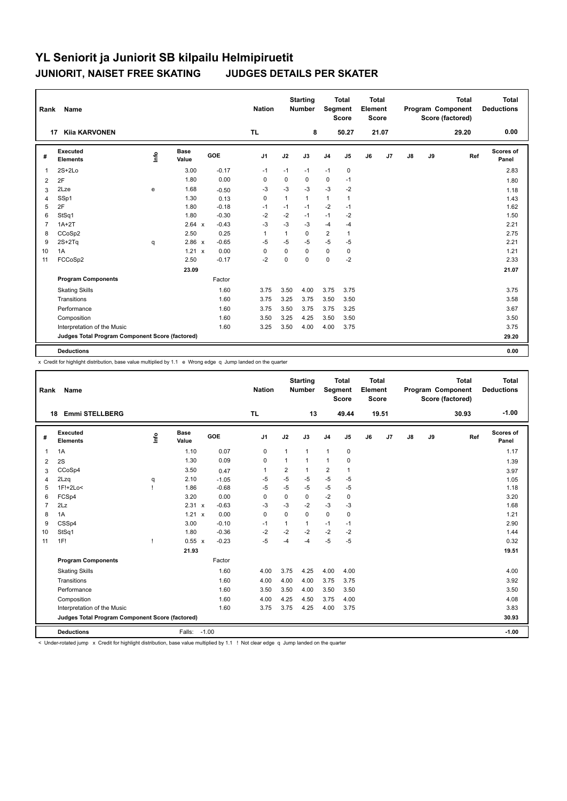| Rank           | <b>Name</b>                                     |                                  |               |         | <b>Nation</b>  |              | <b>Starting</b><br><b>Number</b> | Segment        | <b>Total</b><br><b>Score</b> | <b>Total</b><br>Element<br><b>Score</b> |                |               |    | <b>Total</b><br>Program Component<br>Score (factored) | <b>Total</b><br><b>Deductions</b> |
|----------------|-------------------------------------------------|----------------------------------|---------------|---------|----------------|--------------|----------------------------------|----------------|------------------------------|-----------------------------------------|----------------|---------------|----|-------------------------------------------------------|-----------------------------------|
|                | <b>Kija KARVONEN</b><br>17                      |                                  |               |         | <b>TL</b>      |              | 8                                |                | 50.27                        |                                         | 21.07          |               |    | 29.20                                                 | 0.00                              |
| #              | Executed<br><b>Elements</b>                     | $\mathop{\mathsf{Irr}}\nolimits$ | Base<br>Value | GOE     | J <sub>1</sub> | J2           | J3                               | J <sub>4</sub> | J <sub>5</sub>               | J6                                      | J <sub>7</sub> | $\mathsf{J}8$ | J9 | Ref                                                   | Scores of<br>Panel                |
| $\mathbf{1}$   | $2S+2Lo$                                        |                                  | 3.00          | $-0.17$ | $-1$           | $-1$         | $-1$                             | $-1$           | $\mathbf 0$                  |                                         |                |               |    |                                                       | 2.83                              |
| 2              | 2F                                              |                                  | 1.80          | 0.00    | 0              | 0            | 0                                | 0              | $-1$                         |                                         |                |               |    |                                                       | 1.80                              |
| 3              | 2Lze                                            | e                                | 1.68          | $-0.50$ | $-3$           | $-3$         | $-3$                             | $-3$           | $-2$                         |                                         |                |               |    |                                                       | 1.18                              |
| 4              | SSp1                                            |                                  | 1.30          | 0.13    | 0              | $\mathbf{1}$ | 1                                | $\mathbf{1}$   | $\mathbf{1}$                 |                                         |                |               |    |                                                       | 1.43                              |
| 5              | 2F                                              |                                  | 1.80          | $-0.18$ | -1             | $-1$         | $-1$                             | $-2$           | $-1$                         |                                         |                |               |    |                                                       | 1.62                              |
| 6              | StSq1                                           |                                  | 1.80          | $-0.30$ | $-2$           | $-2$         | $-1$                             | $-1$           | $-2$                         |                                         |                |               |    |                                                       | 1.50                              |
| $\overline{7}$ | $1A+2T$                                         |                                  | 2.64 x        | $-0.43$ | $-3$           | $-3$         | $-3$                             | $-4$           | $-4$                         |                                         |                |               |    |                                                       | 2.21                              |
| 8              | CCoSp2                                          |                                  | 2.50          | 0.25    | $\overline{1}$ | 1            | $\Omega$                         | $\overline{2}$ | $\mathbf{1}$                 |                                         |                |               |    |                                                       | 2.75                              |
| 9              | $2S+2Tq$                                        | q                                | 2.86 x        | $-0.65$ | $-5$           | $-5$         | $-5$                             | $-5$           | $-5$                         |                                         |                |               |    |                                                       | 2.21                              |
| 10             | 1A                                              |                                  | $1.21 \times$ | 0.00    | 0              | $\Omega$     | $\Omega$                         | $\mathbf 0$    | 0                            |                                         |                |               |    |                                                       | 1.21                              |
| 11             | FCCoSp2                                         |                                  | 2.50          | $-0.17$ | $-2$           | $\mathbf 0$  | 0                                | $\mathbf 0$    | $-2$                         |                                         |                |               |    |                                                       | 2.33                              |
|                |                                                 |                                  | 23.09         |         |                |              |                                  |                |                              |                                         |                |               |    |                                                       | 21.07                             |
|                | <b>Program Components</b>                       |                                  |               | Factor  |                |              |                                  |                |                              |                                         |                |               |    |                                                       |                                   |
|                | <b>Skating Skills</b>                           |                                  |               | 1.60    | 3.75           | 3.50         | 4.00                             | 3.75           | 3.75                         |                                         |                |               |    |                                                       | 3.75                              |
|                | Transitions                                     |                                  |               | 1.60    | 3.75           | 3.25         | 3.75                             | 3.50           | 3.50                         |                                         |                |               |    |                                                       | 3.58                              |
|                | Performance                                     |                                  |               | 1.60    | 3.75           | 3.50         | 3.75                             | 3.75           | 3.25                         |                                         |                |               |    |                                                       | 3.67                              |
|                | Composition                                     |                                  |               | 1.60    | 3.50           | 3.25         | 4.25                             | 3.50           | 3.50                         |                                         |                |               |    |                                                       | 3.50                              |
|                | Interpretation of the Music                     |                                  |               | 1.60    | 3.25           | 3.50         | 4.00                             | 4.00           | 3.75                         |                                         |                |               |    |                                                       | 3.75                              |
|                | Judges Total Program Component Score (factored) |                                  |               |         |                |              |                                  |                |                              |                                         |                |               |    |                                                       | 29.20                             |
|                | <b>Deductions</b>                               |                                  |               |         |                |              |                                  |                |                              |                                         |                |               |    |                                                       | 0.00                              |

x Credit for highlight distribution, base value multiplied by 1.1 e Wrong edge q Jump landed on the quarter

| Rank           | Name                                            |      |                      |            | <b>Nation</b>  |             | <b>Starting</b><br>Number | Segment        | <b>Total</b><br><b>Score</b> | <b>Total</b><br>Element<br><b>Score</b> |                |               |    | <b>Total</b><br>Program Component<br>Score (factored) | <b>Total</b><br><b>Deductions</b> |
|----------------|-------------------------------------------------|------|----------------------|------------|----------------|-------------|---------------------------|----------------|------------------------------|-----------------------------------------|----------------|---------------|----|-------------------------------------------------------|-----------------------------------|
|                | <b>Emmi STELLBERG</b><br>18                     |      |                      |            | <b>TL</b>      |             | 13                        |                | 49.44                        |                                         | 19.51          |               |    | 30.93                                                 | $-1.00$                           |
| #              | <b>Executed</b><br><b>Elements</b>              | lnfo | <b>Base</b><br>Value | <b>GOE</b> | J <sub>1</sub> | J2          | J3                        | J <sub>4</sub> | J <sub>5</sub>               | J6                                      | J <sub>7</sub> | $\mathsf{J}8$ | J9 | Ref                                                   | <b>Scores of</b><br>Panel         |
| 1              | 1A                                              |      | 1.10                 | 0.07       | $\mathbf 0$    | 1           | $\mathbf{1}$              | $\mathbf{1}$   | 0                            |                                         |                |               |    |                                                       | 1.17                              |
| 2              | 2S                                              |      | 1.30                 | 0.09       | $\mathbf 0$    | 1           | $\mathbf{1}$              | $\mathbf{1}$   | 0                            |                                         |                |               |    |                                                       | 1.39                              |
| 3              | CCoSp4                                          |      | 3.50                 | 0.47       | $\overline{1}$ | 2           | $\mathbf{1}$              | $\overline{2}$ | $\mathbf{1}$                 |                                         |                |               |    |                                                       | 3.97                              |
| 4              | 2Lzq                                            | q    | 2.10                 | $-1.05$    | -5             | $-5$        | $-5$                      | $-5$           | $-5$                         |                                         |                |               |    |                                                       | 1.05                              |
| 5              | 1F!+2Lo<                                        |      | 1.86                 | $-0.68$    | $-5$           | $-5$        | $-5$                      | $-5$           | $-5$                         |                                         |                |               |    |                                                       | 1.18                              |
| 6              | FCSp4                                           |      | 3.20                 | 0.00       | 0              | $\mathbf 0$ | $\mathbf 0$               | $-2$           | $\mathbf 0$                  |                                         |                |               |    |                                                       | 3.20                              |
| $\overline{7}$ | 2Lz                                             |      | 2.31 x               | $-0.63$    | $-3$           | $-3$        | $-2$                      | $-3$           | $-3$                         |                                         |                |               |    |                                                       | 1.68                              |
| 8              | 1A                                              |      | $1.21 \times$        | 0.00       | 0              | $\Omega$    | $\mathbf 0$               | $\mathbf 0$    | 0                            |                                         |                |               |    |                                                       | 1.21                              |
| 9              | CSSp4                                           |      | 3.00                 | $-0.10$    | $-1$           | 1           | $\mathbf{1}$              | $-1$           | $-1$                         |                                         |                |               |    |                                                       | 2.90                              |
| 10             | StSq1                                           |      | 1.80                 | $-0.36$    | $-2$           | $-2$        | $-2$                      | $-2$           | $-2$                         |                                         |                |               |    |                                                       | 1.44                              |
| 11             | 1F!                                             | Ţ    | 0.55 x               | $-0.23$    | $-5$           | $-4$        | $-4$                      | $-5$           | $-5$                         |                                         |                |               |    |                                                       | 0.32                              |
|                |                                                 |      | 21.93                |            |                |             |                           |                |                              |                                         |                |               |    |                                                       | 19.51                             |
|                | <b>Program Components</b>                       |      |                      | Factor     |                |             |                           |                |                              |                                         |                |               |    |                                                       |                                   |
|                | <b>Skating Skills</b>                           |      |                      | 1.60       | 4.00           | 3.75        | 4.25                      | 4.00           | 4.00                         |                                         |                |               |    |                                                       | 4.00                              |
|                | Transitions                                     |      |                      | 1.60       | 4.00           | 4.00        | 4.00                      | 3.75           | 3.75                         |                                         |                |               |    |                                                       | 3.92                              |
|                | Performance                                     |      |                      | 1.60       | 3.50           | 3.50        | 4.00                      | 3.50           | 3.50                         |                                         |                |               |    |                                                       | 3.50                              |
|                | Composition                                     |      |                      | 1.60       | 4.00           | 4.25        | 4.50                      | 3.75           | 4.00                         |                                         |                |               |    |                                                       | 4.08                              |
|                | Interpretation of the Music                     |      |                      | 1.60       | 3.75           | 3.75        | 4.25                      | 4.00           | 3.75                         |                                         |                |               |    |                                                       | 3.83                              |
|                | Judges Total Program Component Score (factored) |      |                      |            |                |             |                           |                |                              |                                         |                |               |    |                                                       | 30.93                             |
|                | <b>Deductions</b>                               |      | Falls:               | $-1.00$    |                |             |                           |                |                              |                                         |                |               |    |                                                       | $-1.00$                           |

< Under-rotated jump x Credit for highlight distribution, base value multiplied by 1.1 ! Not clear edge q Jump landed on the quarter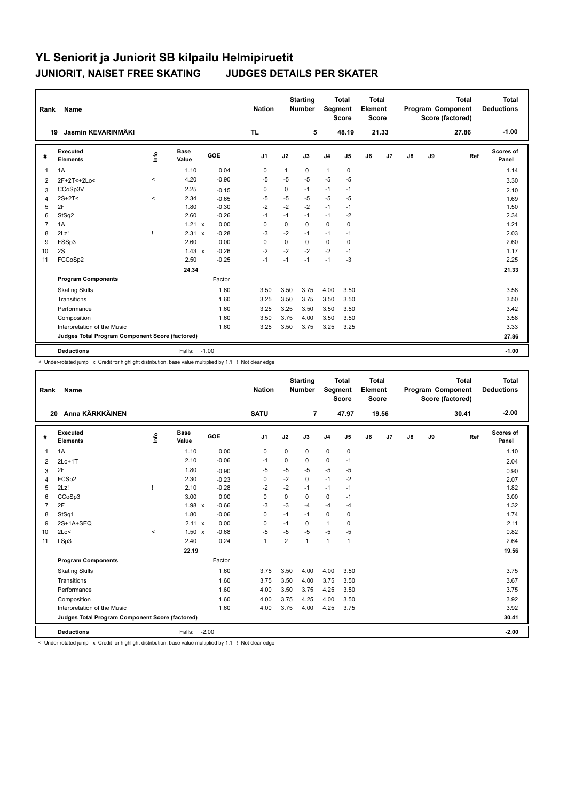| Rank           | <b>Name</b>                                     |         |                      |         | <b>Nation</b>  |              | <b>Starting</b><br><b>Number</b> | Segment        | <b>Total</b><br><b>Score</b> | <b>Total</b><br>Element<br><b>Score</b> |                |               |    | <b>Total</b><br>Program Component<br>Score (factored) | Total<br><b>Deductions</b> |
|----------------|-------------------------------------------------|---------|----------------------|---------|----------------|--------------|----------------------------------|----------------|------------------------------|-----------------------------------------|----------------|---------------|----|-------------------------------------------------------|----------------------------|
|                | Jasmin KEVARINMÄKI<br>19                        |         |                      |         | <b>TL</b>      |              | 5                                |                | 48.19                        |                                         | 21.33          |               |    | 27.86                                                 | $-1.00$                    |
| #              | Executed<br><b>Elements</b>                     | lnfo    | <b>Base</b><br>Value | GOE     | J <sub>1</sub> | J2           | J3                               | J <sub>4</sub> | J <sub>5</sub>               | J6                                      | J <sub>7</sub> | $\mathsf{J}8$ | J9 | Ref                                                   | <b>Scores of</b><br>Panel  |
| $\overline{1}$ | 1A                                              |         | 1.10                 | 0.04    | $\mathbf 0$    | $\mathbf{1}$ | 0                                | $\mathbf{1}$   | $\mathbf 0$                  |                                         |                |               |    |                                                       | 1.14                       |
| 2              | 2F+2T<+2Lo<                                     | $\prec$ | 4.20                 | $-0.90$ | -5             | -5           | $-5$                             | $-5$           | -5                           |                                         |                |               |    |                                                       | 3.30                       |
| 3              | CCoSp3V                                         |         | 2.25                 | $-0.15$ | 0              | 0            | $-1$                             | $-1$           | $-1$                         |                                         |                |               |    |                                                       | 2.10                       |
| 4              | $2S+2T<$                                        | $\prec$ | 2.34                 | $-0.65$ | -5             | $-5$         | $-5$                             | $-5$           | $-5$                         |                                         |                |               |    |                                                       | 1.69                       |
| 5              | 2F                                              |         | 1.80                 | $-0.30$ | $-2$           | $-2$         | $-2$                             | $-1$           | $-1$                         |                                         |                |               |    |                                                       | 1.50                       |
| 6              | StSq2                                           |         | 2.60                 | $-0.26$ | $-1$           | $-1$         | $-1$                             | $-1$           | -2                           |                                         |                |               |    |                                                       | 2.34                       |
| $\overline{7}$ | 1A                                              |         | $1.21 \times$        | 0.00    | $\mathbf 0$    | $\mathbf 0$  | $\Omega$                         | $\mathbf 0$    | $\mathbf 0$                  |                                         |                |               |    |                                                       | 1.21                       |
| 8              | 2Lz!                                            |         | 2.31<br>$\mathsf{x}$ | $-0.28$ | $-3$           | $-2$         | $-1$                             | $-1$           | $-1$                         |                                         |                |               |    |                                                       | 2.03                       |
| 9              | FSSp3                                           |         | 2.60                 | 0.00    | 0              | 0            | 0                                | $\mathbf 0$    | 0                            |                                         |                |               |    |                                                       | 2.60                       |
| 10             | 2S                                              |         | $1.43 \times$        | $-0.26$ | $-2$           | $-2$         | $-2$                             | $-2$           | $-1$                         |                                         |                |               |    |                                                       | 1.17                       |
| 11             | FCCoSp2                                         |         | 2.50                 | $-0.25$ | $-1$           | $-1$         | $-1$                             | $-1$           | $-3$                         |                                         |                |               |    |                                                       | 2.25                       |
|                |                                                 |         | 24.34                |         |                |              |                                  |                |                              |                                         |                |               |    |                                                       | 21.33                      |
|                | <b>Program Components</b>                       |         |                      | Factor  |                |              |                                  |                |                              |                                         |                |               |    |                                                       |                            |
|                | <b>Skating Skills</b>                           |         |                      | 1.60    | 3.50           | 3.50         | 3.75                             | 4.00           | 3.50                         |                                         |                |               |    |                                                       | 3.58                       |
|                | Transitions                                     |         |                      | 1.60    | 3.25           | 3.50         | 3.75                             | 3.50           | 3.50                         |                                         |                |               |    |                                                       | 3.50                       |
|                | Performance                                     |         |                      | 1.60    | 3.25           | 3.25         | 3.50                             | 3.50           | 3.50                         |                                         |                |               |    |                                                       | 3.42                       |
|                | Composition                                     |         |                      | 1.60    | 3.50           | 3.75         | 4.00                             | 3.50           | 3.50                         |                                         |                |               |    |                                                       | 3.58                       |
|                | Interpretation of the Music                     |         |                      | 1.60    | 3.25           | 3.50         | 3.75                             | 3.25           | 3.25                         |                                         |                |               |    |                                                       | 3.33                       |
|                | Judges Total Program Component Score (factored) |         |                      |         |                |              |                                  |                |                              |                                         |                |               |    |                                                       | 27.86                      |
|                | <b>Deductions</b>                               |         | Falls:               | $-1.00$ |                |              |                                  |                |                              |                                         |                |               |    |                                                       | $-1.00$                    |

< Under-rotated jump x Credit for highlight distribution, base value multiplied by 1.1 ! Not clear edge

| Rank           | Name                                            |         |                      |         | <b>Nation</b>  |                | <b>Starting</b><br><b>Number</b> | Segment        | <b>Total</b><br><b>Score</b> | Total<br>Element<br><b>Score</b> |       |    |    | <b>Total</b><br>Program Component<br>Score (factored) | <b>Total</b><br><b>Deductions</b> |
|----------------|-------------------------------------------------|---------|----------------------|---------|----------------|----------------|----------------------------------|----------------|------------------------------|----------------------------------|-------|----|----|-------------------------------------------------------|-----------------------------------|
| 20             | Anna KÄRKKÄINEN                                 |         |                      |         | <b>SATU</b>    |                | $\overline{7}$                   |                | 47.97                        |                                  | 19.56 |    |    | 30.41                                                 | $-2.00$                           |
| #              | Executed<br><b>Elements</b>                     | Info    | <b>Base</b><br>Value | GOE     | J <sub>1</sub> | J2             | J3                               | J <sub>4</sub> | J5                           | J6                               | J7    | J8 | J9 | Ref                                                   | <b>Scores of</b><br>Panel         |
| $\overline{1}$ | 1A                                              |         | 1.10                 | 0.00    | 0              | 0              | 0                                | $\mathbf 0$    | $\mathbf 0$                  |                                  |       |    |    |                                                       | 1.10                              |
| 2              | $2Lo+1T$                                        |         | 2.10                 | $-0.06$ | $-1$           | 0              | 0                                | $\mathbf 0$    | $-1$                         |                                  |       |    |    |                                                       | 2.04                              |
| 3              | 2F                                              |         | 1.80                 | $-0.90$ | $-5$           | $-5$           | $-5$                             | -5             | $-5$                         |                                  |       |    |    |                                                       | 0.90                              |
| 4              | FCSp2                                           |         | 2.30                 | $-0.23$ | $\mathbf 0$    | $-2$           | $\mathbf 0$                      | $-1$           | $-2$                         |                                  |       |    |    |                                                       | 2.07                              |
| 5              | 2Lz!                                            |         | 2.10                 | $-0.28$ | $-2$           | $-2$           | $-1$                             | $-1$           | $-1$                         |                                  |       |    |    |                                                       | 1.82                              |
| 6              | CCoSp3                                          |         | 3.00                 | 0.00    | $\Omega$       | $\Omega$       | $\Omega$                         | $\mathbf 0$    | $-1$                         |                                  |       |    |    |                                                       | 3.00                              |
| $\overline{7}$ | 2F                                              |         | 1.98 x               | $-0.66$ | $-3$           | $-3$           | $-4$                             | $-4$           | $-4$                         |                                  |       |    |    |                                                       | 1.32                              |
| 8              | StSq1                                           |         | 1.80                 | $-0.06$ | $\Omega$       | $-1$           | $-1$                             | $\mathbf 0$    | 0                            |                                  |       |    |    |                                                       | 1.74                              |
| 9              | 2S+1A+SEQ                                       |         | $2.11 \times$        | 0.00    | $\Omega$       | $-1$           | 0                                | $\mathbf{1}$   | 0                            |                                  |       |    |    |                                                       | 2.11                              |
| 10             | 2Lo<                                            | $\prec$ | $1.50 \times$        | $-0.68$ | $-5$           | $-5$           | $-5$                             | $-5$           | $-5$                         |                                  |       |    |    |                                                       | 0.82                              |
| 11             | LSp3                                            |         | 2.40                 | 0.24    | $\mathbf{1}$   | $\overline{2}$ | 1                                | $\mathbf{1}$   | 1                            |                                  |       |    |    |                                                       | 2.64                              |
|                |                                                 |         | 22.19                |         |                |                |                                  |                |                              |                                  |       |    |    |                                                       | 19.56                             |
|                | <b>Program Components</b>                       |         |                      | Factor  |                |                |                                  |                |                              |                                  |       |    |    |                                                       |                                   |
|                | <b>Skating Skills</b>                           |         |                      | 1.60    | 3.75           | 3.50           | 4.00                             | 4.00           | 3.50                         |                                  |       |    |    |                                                       | 3.75                              |
|                | Transitions                                     |         |                      | 1.60    | 3.75           | 3.50           | 4.00                             | 3.75           | 3.50                         |                                  |       |    |    |                                                       | 3.67                              |
|                | Performance                                     |         |                      | 1.60    | 4.00           | 3.50           | 3.75                             | 4.25           | 3.50                         |                                  |       |    |    |                                                       | 3.75                              |
|                | Composition                                     |         |                      | 1.60    | 4.00           | 3.75           | 4.25                             | 4.00           | 3.50                         |                                  |       |    |    |                                                       | 3.92                              |
|                | Interpretation of the Music                     |         |                      | 1.60    | 4.00           | 3.75           | 4.00                             | 4.25           | 3.75                         |                                  |       |    |    |                                                       | 3.92                              |
|                | Judges Total Program Component Score (factored) |         |                      |         |                |                |                                  |                |                              |                                  |       |    |    |                                                       | 30.41                             |
|                | <b>Deductions</b>                               |         | Falls:               | $-2.00$ |                |                |                                  |                |                              |                                  |       |    |    |                                                       | $-2.00$                           |

< Under-rotated jump x Credit for highlight distribution, base value multiplied by 1.1 ! Not clear edge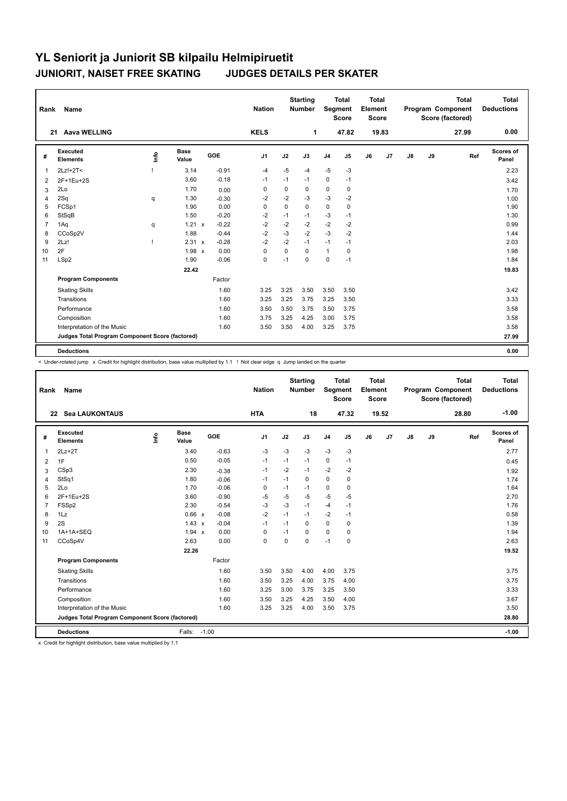| Rank           | Name                                            |      |                      |            | <b>Nation</b>  |          | <b>Starting</b><br><b>Number</b> | Segment        | <b>Total</b><br><b>Score</b> | <b>Total</b><br>Element<br><b>Score</b> |       |               |    | <b>Total</b><br><b>Program Component</b><br>Score (factored) | <b>Total</b><br><b>Deductions</b> |
|----------------|-------------------------------------------------|------|----------------------|------------|----------------|----------|----------------------------------|----------------|------------------------------|-----------------------------------------|-------|---------------|----|--------------------------------------------------------------|-----------------------------------|
| 21             | <b>Aava WELLING</b>                             |      |                      |            | <b>KELS</b>    |          | 1                                |                | 47.82                        |                                         | 19.83 |               |    | 27.99                                                        | 0.00                              |
| #              | Executed<br><b>Elements</b>                     | ١nf٥ | <b>Base</b><br>Value | <b>GOE</b> | J <sub>1</sub> | J2       | J3                               | J <sub>4</sub> | J5                           | J6                                      | J7    | $\mathsf{J}8$ | J9 | Ref                                                          | <b>Scores of</b><br>Panel         |
| $\overline{1}$ | 2Lz!+2T<                                        |      | 3.14                 | $-0.91$    | $-4$           | $-5$     | $-4$                             | $-5$           | $-3$                         |                                         |       |               |    |                                                              | 2.23                              |
| $\overline{2}$ | 2F+1Eu+2S                                       |      | 3.60                 | $-0.18$    | $-1$           | $-1$     | $-1$                             | $\mathbf 0$    | $-1$                         |                                         |       |               |    |                                                              | 3.42                              |
| 3              | 2Lo                                             |      | 1.70                 | 0.00       | 0              | 0        | 0                                | 0              | 0                            |                                         |       |               |    |                                                              | 1.70                              |
| 4              | 2Sq                                             | q    | 1.30                 | $-0.30$    | $-2$           | $-2$     | $-3$                             | $-3$           | $-2$                         |                                         |       |               |    |                                                              | 1.00                              |
| 5              | FCSp1                                           |      | 1.90                 | 0.00       | $\mathbf 0$    | $\Omega$ | $\Omega$                         | $\mathbf 0$    | $\mathbf 0$                  |                                         |       |               |    |                                                              | 1.90                              |
| 6              | StSqB                                           |      | 1.50                 | $-0.20$    | $-2$           | $-1$     | $-1$                             | $-3$           | $-1$                         |                                         |       |               |    |                                                              | 1.30                              |
| $\overline{7}$ | 1Aq                                             | q    | $1.21 \times$        | $-0.22$    | $-2$           | $-2$     | $-2$                             | $-2$           | $-2$                         |                                         |       |               |    |                                                              | 0.99                              |
| 8              | CCoSp2V                                         |      | 1.88                 | $-0.44$    | $-2$           | $-3$     | $-2$                             | $-3$           | $-2$                         |                                         |       |               |    |                                                              | 1.44                              |
| 9              | 2Lz!                                            | п    | 2.31 x               | $-0.28$    | $-2$           | $-2$     | $-1$                             | $-1$           | $-1$                         |                                         |       |               |    |                                                              | 2.03                              |
| 10             | 2F                                              |      | $1.98 \times$        | 0.00       | $\Omega$       | $\Omega$ | $\Omega$                         | $\mathbf{1}$   | $\mathbf 0$                  |                                         |       |               |    |                                                              | 1.98                              |
| 11             | LSp2                                            |      | 1.90                 | $-0.06$    | $\mathbf 0$    | $-1$     | $\mathbf 0$                      | $\mathbf 0$    | $-1$                         |                                         |       |               |    |                                                              | 1.84                              |
|                |                                                 |      | 22.42                |            |                |          |                                  |                |                              |                                         |       |               |    |                                                              | 19.83                             |
|                | <b>Program Components</b>                       |      |                      | Factor     |                |          |                                  |                |                              |                                         |       |               |    |                                                              |                                   |
|                | <b>Skating Skills</b>                           |      |                      | 1.60       | 3.25           | 3.25     | 3.50                             | 3.50           | 3.50                         |                                         |       |               |    |                                                              | 3.42                              |
|                | Transitions                                     |      |                      | 1.60       | 3.25           | 3.25     | 3.75                             | 3.25           | 3.50                         |                                         |       |               |    |                                                              | 3.33                              |
|                | Performance                                     |      |                      | 1.60       | 3.50           | 3.50     | 3.75                             | 3.50           | 3.75                         |                                         |       |               |    |                                                              | 3.58                              |
|                | Composition                                     |      |                      | 1.60       | 3.75           | 3.25     | 4.25                             | 3.00           | 3.75                         |                                         |       |               |    |                                                              | 3.58                              |
|                | Interpretation of the Music                     |      |                      | 1.60       | 3.50           | 3.50     | 4.00                             | 3.25           | 3.75                         |                                         |       |               |    |                                                              | 3.58                              |
|                | Judges Total Program Component Score (factored) |      |                      |            |                |          |                                  |                |                              |                                         |       |               |    |                                                              | 27.99                             |
|                | <b>Deductions</b>                               |      |                      |            |                |          |                                  |                |                              |                                         |       |               |    |                                                              | 0.00                              |

< Under-rotated jump x Credit for highlight distribution, base value multiplied by 1.1 ! Not clear edge q Jump landed on the quarter

| Rank           | Name                                            |   |                      |            | <b>Nation</b> |      | <b>Starting</b><br><b>Number</b> | Segment        | <b>Total</b><br><b>Score</b> | <b>Total</b><br>Element<br>Score |       |    |    | <b>Total</b><br>Program Component<br>Score (factored) | <b>Total</b><br><b>Deductions</b> |
|----------------|-------------------------------------------------|---|----------------------|------------|---------------|------|----------------------------------|----------------|------------------------------|----------------------------------|-------|----|----|-------------------------------------------------------|-----------------------------------|
|                | 22 Sea LAUKONTAUS                               |   |                      |            | <b>HTA</b>    |      | 18                               |                | 47.32                        |                                  | 19.52 |    |    | 28.80                                                 | $-1.00$                           |
| #              | Executed<br><b>Elements</b>                     | ۴ | <b>Base</b><br>Value | <b>GOE</b> | J1            | J2   | J3                               | J <sub>4</sub> | J5                           | J6                               | J7    | J8 | J9 | Ref                                                   | Scores of<br>Panel                |
| 1              | $2Lz+2T$                                        |   | 3.40                 | $-0.63$    | $-3$          | $-3$ | $-3$                             | $-3$           | $-3$                         |                                  |       |    |    |                                                       | 2.77                              |
| 2              | 1F                                              |   | 0.50                 | $-0.05$    | -1            | $-1$ | $-1$                             | $\mathbf 0$    | $-1$                         |                                  |       |    |    |                                                       | 0.45                              |
| 3              | CSp3                                            |   | 2.30                 | $-0.38$    | -1            | $-2$ | $-1$                             | $-2$           | $-2$                         |                                  |       |    |    |                                                       | 1.92                              |
| 4              | StSq1                                           |   | 1.80                 | $-0.06$    | $-1$          | $-1$ | $\mathbf 0$                      | $\mathbf 0$    | 0                            |                                  |       |    |    |                                                       | 1.74                              |
| 5              | 2Lo                                             |   | 1.70                 | $-0.06$    | $\mathbf 0$   | $-1$ | $-1$                             | $\mathbf 0$    | $\mathbf 0$                  |                                  |       |    |    |                                                       | 1.64                              |
| 6              | 2F+1Eu+2S                                       |   | 3.60                 | $-0.90$    | $-5$          | $-5$ | $-5$                             | $-5$           | $-5$                         |                                  |       |    |    |                                                       | 2.70                              |
| $\overline{7}$ | FSS <sub>p2</sub>                               |   | 2.30                 | $-0.54$    | $-3$          | $-3$ | $-1$                             | $-4$           | $-1$                         |                                  |       |    |    |                                                       | 1.76                              |
| 8              | 1Lz                                             |   | 0.66 x               | $-0.08$    | $-2$          | $-1$ | $-1$                             | $-2$           | $-1$                         |                                  |       |    |    |                                                       | 0.58                              |
| 9              | 2S                                              |   | $1.43 \times$        | $-0.04$    | $-1$          | $-1$ | $\Omega$                         | $\Omega$       | 0                            |                                  |       |    |    |                                                       | 1.39                              |
| 10             | 1A+1A+SEQ                                       |   | 1.94 x               | 0.00       | 0             | $-1$ | $\Omega$                         | 0              | 0                            |                                  |       |    |    |                                                       | 1.94                              |
| 11             | CCoSp4V                                         |   | 2.63                 | 0.00       | 0             | 0    | $\Omega$                         | $-1$           | 0                            |                                  |       |    |    |                                                       | 2.63                              |
|                |                                                 |   | 22.26                |            |               |      |                                  |                |                              |                                  |       |    |    |                                                       | 19.52                             |
|                | <b>Program Components</b>                       |   |                      | Factor     |               |      |                                  |                |                              |                                  |       |    |    |                                                       |                                   |
|                | <b>Skating Skills</b>                           |   |                      | 1.60       | 3.50          | 3.50 | 4.00                             | 4.00           | 3.75                         |                                  |       |    |    |                                                       | 3.75                              |
|                | Transitions                                     |   |                      | 1.60       | 3.50          | 3.25 | 4.00                             | 3.75           | 4.00                         |                                  |       |    |    |                                                       | 3.75                              |
|                | Performance                                     |   |                      | 1.60       | 3.25          | 3.00 | 3.75                             | 3.25           | 3.50                         |                                  |       |    |    |                                                       | 3.33                              |
|                | Composition                                     |   |                      | 1.60       | 3.50          | 3.25 | 4.25                             | 3.50           | 4.00                         |                                  |       |    |    |                                                       | 3.67                              |
|                | Interpretation of the Music                     |   |                      | 1.60       | 3.25          | 3.25 | 4.00                             | 3.50           | 3.75                         |                                  |       |    |    |                                                       | 3.50                              |
|                | Judges Total Program Component Score (factored) |   |                      |            |               |      |                                  |                |                              |                                  |       |    |    |                                                       | 28.80                             |
|                | <b>Deductions</b>                               |   | Falls: -1.00         |            |               |      |                                  |                |                              |                                  |       |    |    |                                                       | $-1.00$                           |

x Credit for highlight distribution, base value multiplied by 1.1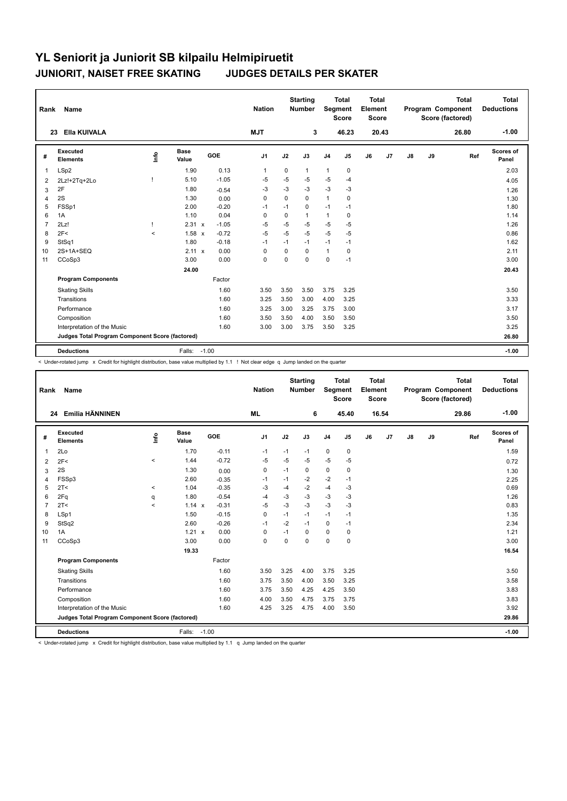| Rank           | Name                                            |         |                      |         | <b>Nation</b> |          | <b>Starting</b><br>Number | <b>Segment</b> | <b>Total</b><br><b>Score</b> | <b>Total</b><br>Element<br><b>Score</b> |       |               |    | <b>Total</b><br>Program Component<br>Score (factored) | Total<br><b>Deductions</b> |
|----------------|-------------------------------------------------|---------|----------------------|---------|---------------|----------|---------------------------|----------------|------------------------------|-----------------------------------------|-------|---------------|----|-------------------------------------------------------|----------------------------|
|                | Ella KUIVALA<br>23                              |         |                      |         | <b>MJT</b>    |          | 3                         |                | 46.23                        |                                         | 20.43 |               |    | 26.80                                                 | $-1.00$                    |
| #              | Executed<br><b>Elements</b>                     | lnfo    | <b>Base</b><br>Value | GOE     | J1            | J2       | J3                        | J <sub>4</sub> | J5                           | J6                                      | J7    | $\mathsf{J}8$ | J9 | Ref                                                   | <b>Scores of</b><br>Panel  |
| $\overline{1}$ | LSp2                                            |         | 1.90                 | 0.13    | $\mathbf{1}$  | 0        | 1                         | $\mathbf{1}$   | $\mathbf 0$                  |                                         |       |               |    |                                                       | 2.03                       |
| 2              | 2Lz!+2Tq+2Lo                                    |         | 5.10                 | $-1.05$ | $-5$          | -5       | $-5$                      | $-5$           | $-4$                         |                                         |       |               |    |                                                       | 4.05                       |
| 3              | 2F                                              |         | 1.80                 | $-0.54$ | $-3$          | $-3$     | $-3$                      | $-3$           | $-3$                         |                                         |       |               |    |                                                       | 1.26                       |
| 4              | 2S                                              |         | 1.30                 | 0.00    | 0             | 0        | 0                         | $\mathbf{1}$   | 0                            |                                         |       |               |    |                                                       | 1.30                       |
| 5              | FSSp1                                           |         | 2.00                 | $-0.20$ | $-1$          | $-1$     | 0                         | $-1$           | $-1$                         |                                         |       |               |    |                                                       | 1.80                       |
| 6              | 1A                                              |         | 1.10                 | 0.04    | 0             | 0        | 1                         | $\mathbf{1}$   | 0                            |                                         |       |               |    |                                                       | 1.14                       |
| $\overline{7}$ | 2Lz!                                            | T       | 2.31 x               | $-1.05$ | $-5$          | $-5$     | $-5$                      | $-5$           | $-5$                         |                                         |       |               |    |                                                       | 1.26                       |
| 8              | 2F<                                             | $\prec$ | 1.58 x               | $-0.72$ | $-5$          | $-5$     | $-5$                      | $-5$           | $-5$                         |                                         |       |               |    |                                                       | 0.86                       |
| 9              | StSq1                                           |         | 1.80                 | $-0.18$ | $-1$          | $-1$     | $-1$                      | $-1$           | $-1$                         |                                         |       |               |    |                                                       | 1.62                       |
| 10             | 2S+1A+SEQ                                       |         | 2.11 x               | 0.00    | 0             | 0        | 0                         | $\mathbf{1}$   | 0                            |                                         |       |               |    |                                                       | 2.11                       |
| 11             | CCoSp3                                          |         | 3.00                 | 0.00    | $\mathbf 0$   | $\Omega$ | $\Omega$                  | $\mathbf 0$    | $-1$                         |                                         |       |               |    |                                                       | 3.00                       |
|                |                                                 |         | 24.00                |         |               |          |                           |                |                              |                                         |       |               |    |                                                       | 20.43                      |
|                | <b>Program Components</b>                       |         |                      | Factor  |               |          |                           |                |                              |                                         |       |               |    |                                                       |                            |
|                | <b>Skating Skills</b>                           |         |                      | 1.60    | 3.50          | 3.50     | 3.50                      | 3.75           | 3.25                         |                                         |       |               |    |                                                       | 3.50                       |
|                | Transitions                                     |         |                      | 1.60    | 3.25          | 3.50     | 3.00                      | 4.00           | 3.25                         |                                         |       |               |    |                                                       | 3.33                       |
|                | Performance                                     |         |                      | 1.60    | 3.25          | 3.00     | 3.25                      | 3.75           | 3.00                         |                                         |       |               |    |                                                       | 3.17                       |
|                | Composition                                     |         |                      | 1.60    | 3.50          | 3.50     | 4.00                      | 3.50           | 3.50                         |                                         |       |               |    |                                                       | 3.50                       |
|                | Interpretation of the Music                     |         |                      | 1.60    | 3.00          | 3.00     | 3.75                      | 3.50           | 3.25                         |                                         |       |               |    |                                                       | 3.25                       |
|                | Judges Total Program Component Score (factored) |         |                      |         |               |          |                           |                |                              |                                         |       |               |    |                                                       | 26.80                      |
|                | <b>Deductions</b>                               |         | Falls:               | $-1.00$ |               |          |                           |                |                              |                                         |       |               |    |                                                       | $-1.00$                    |

< Under-rotated jump x Credit for highlight distribution, base value multiplied by 1.1 ! Not clear edge q Jump landed on the quarter

| Rank           | Name                                            |          |                      |            | <b>Nation</b>  |             | <b>Starting</b><br><b>Number</b> | Segment        | <b>Total</b><br><b>Score</b> | <b>Total</b><br>Element<br>Score |       |               |    | <b>Total</b><br>Program Component<br>Score (factored) | <b>Total</b><br><b>Deductions</b> |
|----------------|-------------------------------------------------|----------|----------------------|------------|----------------|-------------|----------------------------------|----------------|------------------------------|----------------------------------|-------|---------------|----|-------------------------------------------------------|-----------------------------------|
|                | Emilia HÄNNINEN<br>24                           |          |                      |            | <b>ML</b>      |             | 6                                |                | 45.40                        |                                  | 16.54 |               |    | 29.86                                                 | $-1.00$                           |
| #              | Executed<br><b>Elements</b>                     | ۴        | <b>Base</b><br>Value | <b>GOE</b> | J <sub>1</sub> | J2          | J3                               | J <sub>4</sub> | J5                           | J6                               | J7    | $\mathsf{J}8$ | J9 | Ref                                                   | Scores of<br>Panel                |
| 1              | 2Lo                                             |          | 1.70                 | $-0.11$    | $-1$           | $-1$        | $-1$                             | 0              | $\mathbf 0$                  |                                  |       |               |    |                                                       | 1.59                              |
| 2              | 2F<                                             | $\hat{}$ | 1.44                 | $-0.72$    | $-5$           | $-5$        | $-5$                             | $-5$           | $-5$                         |                                  |       |               |    |                                                       | 0.72                              |
| 3              | 2S                                              |          | 1.30                 | 0.00       | 0              | $-1$        | 0                                | 0              | 0                            |                                  |       |               |    |                                                       | 1.30                              |
| 4              | FSSp3                                           |          | 2.60                 | $-0.35$    | $-1$           | $-1$        | $-2$                             | $-2$           | $-1$                         |                                  |       |               |    |                                                       | 2.25                              |
| 5              | 2T <                                            | $\hat{}$ | 1.04                 | $-0.35$    | $-3$           | $-4$        | $-2$                             | $-4$           | $-3$                         |                                  |       |               |    |                                                       | 0.69                              |
| 6              | 2Fq                                             | q        | 1.80                 | $-0.54$    | $-4$           | $-3$        | $-3$                             | $-3$           | -3                           |                                  |       |               |    |                                                       | 1.26                              |
| $\overline{7}$ | 2T<                                             | $\prec$  | 1.14 x               | $-0.31$    | $-5$           | $-3$        | $-3$                             | $-3$           | $-3$                         |                                  |       |               |    |                                                       | 0.83                              |
| 8              | LSp1                                            |          | 1.50                 | $-0.15$    | 0              | $-1$        | $-1$                             | $-1$           | $-1$                         |                                  |       |               |    |                                                       | 1.35                              |
| 9              | StSq2                                           |          | 2.60                 | $-0.26$    | -1             | $-2$        | $-1$                             | 0              | $-1$                         |                                  |       |               |    |                                                       | 2.34                              |
| 10             | 1A                                              |          | 1.21 x               | 0.00       | $\Omega$       | $-1$        | $\Omega$                         | 0              | 0                            |                                  |       |               |    |                                                       | 1.21                              |
| 11             | CCoSp3                                          |          | 3.00                 | 0.00       | $\mathbf 0$    | $\mathbf 0$ | $\mathbf 0$                      | 0              | $\mathbf 0$                  |                                  |       |               |    |                                                       | 3.00                              |
|                |                                                 |          | 19.33                |            |                |             |                                  |                |                              |                                  |       |               |    |                                                       | 16.54                             |
|                | <b>Program Components</b>                       |          |                      | Factor     |                |             |                                  |                |                              |                                  |       |               |    |                                                       |                                   |
|                | <b>Skating Skills</b>                           |          |                      | 1.60       | 3.50           | 3.25        | 4.00                             | 3.75           | 3.25                         |                                  |       |               |    |                                                       | 3.50                              |
|                | Transitions                                     |          |                      | 1.60       | 3.75           | 3.50        | 4.00                             | 3.50           | 3.25                         |                                  |       |               |    |                                                       | 3.58                              |
|                | Performance                                     |          |                      | 1.60       | 3.75           | 3.50        | 4.25                             | 4.25           | 3.50                         |                                  |       |               |    |                                                       | 3.83                              |
|                | Composition                                     |          |                      | 1.60       | 4.00           | 3.50        | 4.75                             | 3.75           | 3.75                         |                                  |       |               |    |                                                       | 3.83                              |
|                | Interpretation of the Music                     |          |                      | 1.60       | 4.25           | 3.25        | 4.75                             | 4.00           | 3.50                         |                                  |       |               |    |                                                       | 3.92                              |
|                | Judges Total Program Component Score (factored) |          |                      |            |                |             |                                  |                |                              |                                  |       |               |    |                                                       | 29.86                             |
|                | <b>Deductions</b>                               |          | Falls: -1.00         |            |                |             |                                  |                |                              |                                  |       |               |    |                                                       | $-1.00$                           |

< Under-rotated jump x Credit for highlight distribution, base value multiplied by 1.1 q Jump landed on the quarter